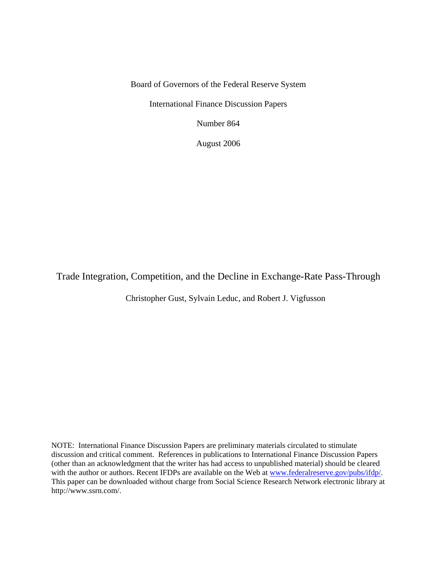Board of Governors of the Federal Reserve System

International Finance Discussion Papers

Number 864

August 2006

Trade Integration, Competition, and the Decline in Exchange-Rate Pass-Through

Christopher Gust, Sylvain Leduc, and Robert J. Vigfusson

NOTE: International Finance Discussion Papers are preliminary materials circulated to stimulate discussion and critical comment. References in publications to International Finance Discussion Papers (other than an acknowledgment that the writer has had access to unpublished material) should be cleared with the author or authors. Recent IFDPs are available on the Web at www.federalreserve.gov/pubs/ifdp/. This paper can be downloaded without charge from Social Science Research Network electronic library at http://www.ssrn.com/.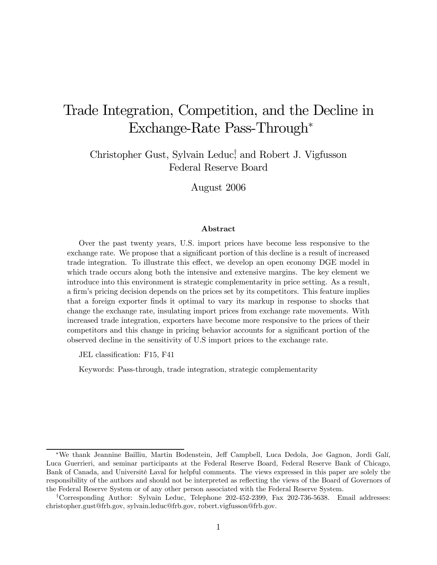# Trade Integration, Competition, and the Decline in Exchange-Rate Pass-Through<sup>∗</sup>

Christopher Gust, Sylvain Leduc<sup>†</sup> and Robert J. Vigfusson Federal Reserve Board

August 2006

#### Abstract

Over the past twenty years, U.S. import prices have become less responsive to the exchange rate. We propose that a significant portion of this decline is a result of increased trade integration. To illustrate this effect, we develop an open economy DGE model in which trade occurs along both the intensive and extensive margins. The key element we introduce into this environment is strategic complementarity in price setting. As a result, a firm's pricing decision depends on the prices set by its competitors. This feature implies that a foreign exporter finds it optimal to vary its markup in response to shocks that change the exchange rate, insulating import prices from exchange rate movements. With increased trade integration, exporters have become more responsive to the prices of their competitors and this change in pricing behavior accounts for a significant portion of the observed decline in the sensitivity of U.S import prices to the exchange rate.

JEL classification: F15, F41

Keywords: Pass-through, trade integration, strategic complementarity

<sup>∗</sup>We thank Jeannine Bailliu, Martin Bodenstein, Jeff Campbell, Luca Dedola, Joe Gagnon, Jordi Galí, Luca Guerrieri, and seminar participants at the Federal Reserve Board, Federal Reserve Bank of Chicago, Bank of Canada, and Université Laval for helpful comments. The views expressed in this paper are solely the responsibility of the authors and should not be interpreted as reflecting the views of the Board of Governors of the Federal Reserve System or of any other person associated with the Federal Reserve System.

<sup>†</sup>Corresponding Author: Sylvain Leduc, Telephone 202-452-2399, Fax 202-736-5638. Email addresses: christopher.gust@frb.gov, sylvain.leduc@frb.gov, robert.vigfusson@frb.gov.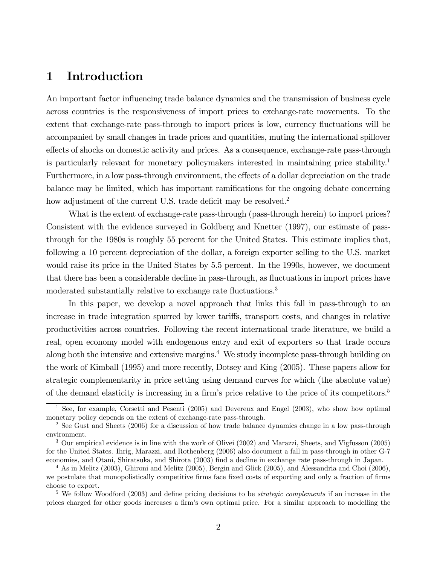### 1 Introduction

An important factor influencing trade balance dynamics and the transmission of business cycle across countries is the responsiveness of import prices to exchange-rate movements. To the extent that exchange-rate pass-through to import prices is low, currency fluctuations will be accompanied by small changes in trade prices and quantities, muting the international spillover effects of shocks on domestic activity and prices. As a consequence, exchange-rate pass-through is particularly relevant for monetary policymakers interested in maintaining price stability.<sup>1</sup> Furthermore, in a low pass-through environment, the effects of a dollar depreciation on the trade balance may be limited, which has important ramifications for the ongoing debate concerning how adjustment of the current U.S. trade deficit may be resolved.<sup>2</sup>

What is the extent of exchange-rate pass-through (pass-through herein) to import prices? Consistent with the evidence surveyed in Goldberg and Knetter (1997), our estimate of passthrough for the 1980s is roughly 55 percent for the United States. This estimate implies that, following a 10 percent depreciation of the dollar, a foreign exporter selling to the U.S. market would raise its price in the United States by 5.5 percent. In the 1990s, however, we document that there has been a considerable decline in pass-through, as fluctuations in import prices have moderated substantially relative to exchange rate fluctuations.3

In this paper, we develop a novel approach that links this fall in pass-through to an increase in trade integration spurred by lower tariffs, transport costs, and changes in relative productivities across countries. Following the recent international trade literature, we build a real, open economy model with endogenous entry and exit of exporters so that trade occurs along both the intensive and extensive margins.<sup>4</sup> We study incomplete pass-through building on the work of Kimball (1995) and more recently, Dotsey and King (2005). These papers allow for strategic complementarity in price setting using demand curves for which (the absolute value) of the demand elasticity is increasing in a firm's price relative to the price of its competitors.<sup>5</sup>

<sup>&</sup>lt;sup>1</sup> See, for example, Corsetti and Pesenti (2005) and Devereux and Engel (2003), who show how optimal monetary policy depends on the extent of exchange-rate pass-through.

<sup>&</sup>lt;sup>2</sup> See Gust and Sheets (2006) for a discussion of how trade balance dynamics change in a low pass-through environment.

<sup>3</sup> Our empirical evidence is in line with the work of Olivei (2002) and Marazzi, Sheets, and Vigfusson (2005) for the United States. Ihrig, Marazzi, and Rothenberg (2006) also document a fall in pass-through in other G-7 economies, and Otani, Shiratsuka, and Shirota (2003) find a decline in exchange rate pass-through in Japan.

<sup>4</sup> As in Melitz (2003), Ghironi and Melitz (2005), Bergin and Glick (2005), and Alessandria and Choi (2006), we postulate that monopolistically competitive firms face fixed costs of exporting and only a fraction of firms choose to export.

<sup>&</sup>lt;sup>5</sup> We follow Woodford (2003) and define pricing decisions to be *strategic complements* if an increase in the prices charged for other goods increases a firm's own optimal price. For a similar approach to modelling the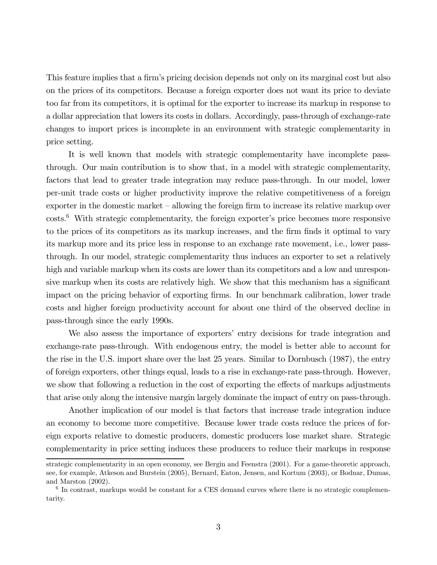This feature implies that a firm's pricing decision depends not only on its marginal cost but also on the prices of its competitors. Because a foreign exporter does not want its price to deviate too far from its competitors, it is optimal for the exporter to increase its markup in response to a dollar appreciation that lowers its costs in dollars. Accordingly, pass-through of exchange-rate changes to import prices is incomplete in an environment with strategic complementarity in price setting.

It is well known that models with strategic complementarity have incomplete passthrough. Our main contribution is to show that, in a model with strategic complementarity, factors that lead to greater trade integration may reduce pass-through. In our model, lower per-unit trade costs or higher productivity improve the relative competitiveness of a foreign exporter in the domestic market — allowing the foreign firm to increase its relative markup over costs.6 With strategic complementarity, the foreign exporter's price becomes more responsive to the prices of its competitors as its markup increases, and the firm finds it optimal to vary its markup more and its price less in response to an exchange rate movement, i.e., lower passthrough. In our model, strategic complementarity thus induces an exporter to set a relatively high and variable markup when its costs are lower than its competitors and a low and unresponsive markup when its costs are relatively high. We show that this mechanism has a significant impact on the pricing behavior of exporting firms. In our benchmark calibration, lower trade costs and higher foreign productivity account for about one third of the observed decline in pass-through since the early 1990s.

We also assess the importance of exporters' entry decisions for trade integration and exchange-rate pass-through. With endogenous entry, the model is better able to account for the rise in the U.S. import share over the last 25 years. Similar to Dornbusch (1987), the entry of foreign exporters, other things equal, leads to a rise in exchange-rate pass-through. However, we show that following a reduction in the cost of exporting the effects of markups adjustments that arise only along the intensive margin largely dominate the impact of entry on pass-through.

Another implication of our model is that factors that increase trade integration induce an economy to become more competitive. Because lower trade costs reduce the prices of foreign exports relative to domestic producers, domestic producers lose market share. Strategic complementarity in price setting induces these producers to reduce their markups in response

strategic complementarity in an open economy, see Bergin and Feenstra (2001). For a game-theoretic approach, see, for example, Atkeson and Burstein (2005), Bernard, Eaton, Jensen, and Kortum (2003), or Bodnar, Dumas, and Marston (2002).

<sup>6</sup> In contrast, markups would be constant for a CES demand curves where there is no strategic complementarity.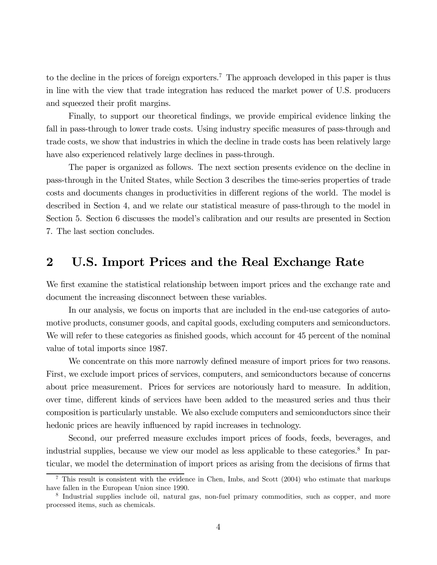to the decline in the prices of foreign exporters.<sup>7</sup> The approach developed in this paper is thus in line with the view that trade integration has reduced the market power of U.S. producers and squeezed their profit margins.

Finally, to support our theoretical findings, we provide empirical evidence linking the fall in pass-through to lower trade costs. Using industry specific measures of pass-through and trade costs, we show that industries in which the decline in trade costs has been relatively large have also experienced relatively large declines in pass-through.

The paper is organized as follows. The next section presents evidence on the decline in pass-through in the United States, while Section 3 describes the time-series properties of trade costs and documents changes in productivities in different regions of the world. The model is described in Section 4, and we relate our statistical measure of pass-through to the model in Section 5. Section 6 discusses the model's calibration and our results are presented in Section 7. The last section concludes.

# 2 U.S. Import Prices and the Real Exchange Rate

We first examine the statistical relationship between import prices and the exchange rate and document the increasing disconnect between these variables.

In our analysis, we focus on imports that are included in the end-use categories of automotive products, consumer goods, and capital goods, excluding computers and semiconductors. We will refer to these categories as finished goods, which account for 45 percent of the nominal value of total imports since 1987.

We concentrate on this more narrowly defined measure of import prices for two reasons. First, we exclude import prices of services, computers, and semiconductors because of concerns about price measurement. Prices for services are notoriously hard to measure. In addition, over time, different kinds of services have been added to the measured series and thus their composition is particularly unstable. We also exclude computers and semiconductors since their hedonic prices are heavily influenced by rapid increases in technology.

Second, our preferred measure excludes import prices of foods, feeds, beverages, and industrial supplies, because we view our model as less applicable to these categories.<sup>8</sup> In particular, we model the determination of import prices as arising from the decisions of firms that

<sup>7</sup> This result is consistent with the evidence in Chen, Imbs, and Scott (2004) who estimate that markups have fallen in the European Union since 1990.

<sup>8</sup> Industrial supplies include oil, natural gas, non-fuel primary commodities, such as copper, and more processed items, such as chemicals.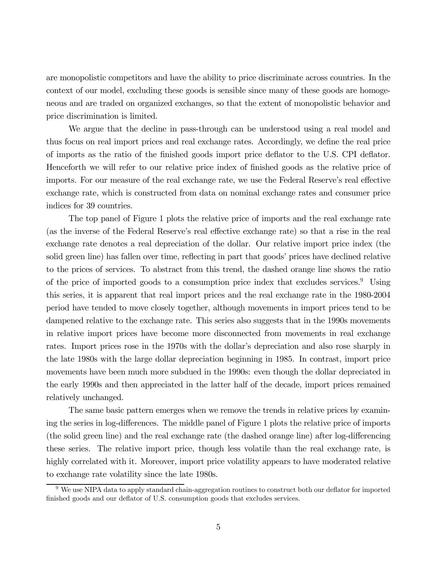are monopolistic competitors and have the ability to price discriminate across countries. In the context of our model, excluding these goods is sensible since many of these goods are homogeneous and are traded on organized exchanges, so that the extent of monopolistic behavior and price discrimination is limited.

We argue that the decline in pass-through can be understood using a real model and thus focus on real import prices and real exchange rates. Accordingly, we define the real price of imports as the ratio of the finished goods import price deflator to the U.S. CPI deflator. Henceforth we will refer to our relative price index of finished goods as the relative price of imports. For our measure of the real exchange rate, we use the Federal Reserve's real effective exchange rate, which is constructed from data on nominal exchange rates and consumer price indices for 39 countries.

The top panel of Figure 1 plots the relative price of imports and the real exchange rate (as the inverse of the Federal Reserve's real effective exchange rate) so that a rise in the real exchange rate denotes a real depreciation of the dollar. Our relative import price index (the solid green line) has fallen over time, reflecting in part that goods' prices have declined relative to the prices of services. To abstract from this trend, the dashed orange line shows the ratio of the price of imported goods to a consumption price index that excludes services.9 Using this series, it is apparent that real import prices and the real exchange rate in the 1980-2004 period have tended to move closely together, although movements in import prices tend to be dampened relative to the exchange rate. This series also suggests that in the 1990s movements in relative import prices have become more disconnected from movements in real exchange rates. Import prices rose in the 1970s with the dollar's depreciation and also rose sharply in the late 1980s with the large dollar depreciation beginning in 1985. In contrast, import price movements have been much more subdued in the 1990s: even though the dollar depreciated in the early 1990s and then appreciated in the latter half of the decade, import prices remained relatively unchanged.

The same basic pattern emerges when we remove the trends in relative prices by examining the series in log-differences. The middle panel of Figure 1 plots the relative price of imports (the solid green line) and the real exchange rate (the dashed orange line) after log-differencing these series. The relative import price, though less volatile than the real exchange rate, is highly correlated with it. Moreover, import price volatility appears to have moderated relative to exchange rate volatility since the late 1980s.

<sup>9</sup> We use NIPA data to apply standard chain-aggregation routines to construct both our deflator for imported finished goods and our deflator of U.S. consumption goods that excludes services.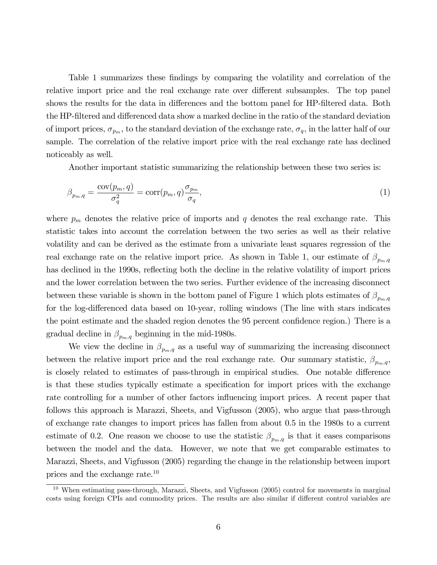Table 1 summarizes these findings by comparing the volatility and correlation of the relative import price and the real exchange rate over different subsamples. The top panel shows the results for the data in differences and the bottom panel for HP-filtered data. Both the HP-filtered and differenced data show a marked decline in the ratio of the standard deviation of import prices,  $\sigma_{p_m}$ , to the standard deviation of the exchange rate,  $\sigma_q$ , in the latter half of our sample. The correlation of the relative import price with the real exchange rate has declined noticeably as well.

Another important statistic summarizing the relationship between these two series is:

$$
\beta_{p_m,q} = \frac{\text{cov}(p_m, q)}{\sigma_q^2} = \text{corr}(p_m, q) \frac{\sigma_{p_m}}{\sigma_q},\tag{1}
$$

where  $p_m$  denotes the relative price of imports and q denotes the real exchange rate. This statistic takes into account the correlation between the two series as well as their relative volatility and can be derived as the estimate from a univariate least squares regression of the real exchange rate on the relative import price. As shown in Table 1, our estimate of  $\beta_{p_m,q}$ has declined in the 1990s, reflecting both the decline in the relative volatility of import prices and the lower correlation between the two series. Further evidence of the increasing disconnect between these variable is shown in the bottom panel of Figure 1 which plots estimates of  $\beta_{p_m,q}$ for the log-differenced data based on 10-year, rolling windows (The line with stars indicates the point estimate and the shaded region denotes the 95 percent confidence region.) There is a gradual decline in  $\beta_{p_m,q}$  beginning in the mid-1980s.

We view the decline in  $\beta_{p_m,q}$  as a useful way of summarizing the increasing disconnect between the relative import price and the real exchange rate. Our summary statistic,  $\beta_{p_m,q}$ , is closely related to estimates of pass-through in empirical studies. One notable difference is that these studies typically estimate a specification for import prices with the exchange rate controlling for a number of other factors influencing import prices. A recent paper that follows this approach is Marazzi, Sheets, and Vigfusson (2005), who argue that pass-through of exchange rate changes to import prices has fallen from about 0.5 in the 1980s to a current estimate of 0.2. One reason we choose to use the statistic  $\beta_{p_m,q}$  is that it eases comparisons between the model and the data. However, we note that we get comparable estimates to Marazzi, Sheets, and Vigfusson (2005) regarding the change in the relationship between import prices and the exchange rate.10

<sup>&</sup>lt;sup>10</sup> When estimating pass-through, Marazzi, Sheets, and Vigfusson (2005) control for movements in marginal costs using foreign CPIs and commodity prices. The results are also similar if different control variables are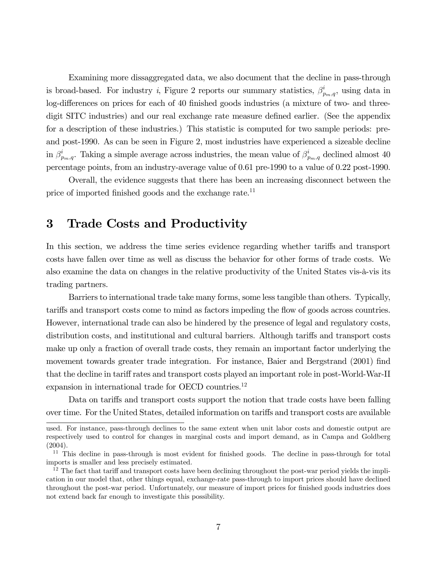Examining more dissaggregated data, we also document that the decline in pass-through is broad-based. For industry *i*, Figure 2 reports our summary statistics,  $\beta_{p_m,q}^i$ , using data in log-differences on prices for each of 40 finished goods industries (a mixture of two- and threedigit SITC industries) and our real exchange rate measure defined earlier. (See the appendix for a description of these industries.) This statistic is computed for two sample periods: preand post-1990. As can be seen in Figure 2, most industries have experienced a sizeable decline in  $\beta^i_{p_m,q}$ . Taking a simple average across industries, the mean value of  $\beta^i_{p_m,q}$  declined almost 40 percentage points, from an industry-average value of 0.61 pre-1990 to a value of 0.22 post-1990.

Overall, the evidence suggests that there has been an increasing disconnect between the price of imported finished goods and the exchange rate.<sup>11</sup>

# 3 Trade Costs and Productivity

In this section, we address the time series evidence regarding whether tariffs and transport costs have fallen over time as well as discuss the behavior for other forms of trade costs. We also examine the data on changes in the relative productivity of the United States vis-à-vis its trading partners.

Barriers to international trade take many forms, some less tangible than others. Typically, tariffs and transport costs come to mind as factors impeding the flow of goods across countries. However, international trade can also be hindered by the presence of legal and regulatory costs, distribution costs, and institutional and cultural barriers. Although tariffs and transport costs make up only a fraction of overall trade costs, they remain an important factor underlying the movement towards greater trade integration. For instance, Baier and Bergstrand (2001) find that the decline in tariff rates and transport costs played an important role in post-World-War-II expansion in international trade for OECD countries.<sup>12</sup>

Data on tariffs and transport costs support the notion that trade costs have been falling over time. For the United States, detailed information on tariffs and transport costs are available

used. For instance, pass-through declines to the same extent when unit labor costs and domestic output are respectively used to control for changes in marginal costs and import demand, as in Campa and Goldberg (2004).

<sup>&</sup>lt;sup>11</sup> This decline in pass-through is most evident for finished goods. The decline in pass-through for total imports is smaller and less precisely estimated.

 $12$  The fact that tariff and transport costs have been declining throughout the post-war period yields the implication in our model that, other things equal, exchange-rate pass-through to import prices should have declined throughout the post-war period. Unfortunately, our measure of import prices for finished goods industries does not extend back far enough to investigate this possibility.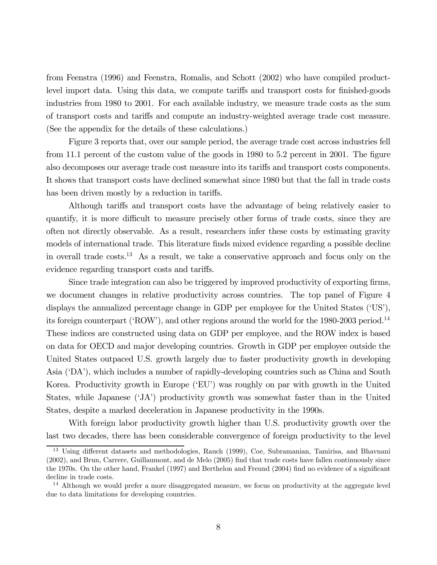from Feenstra (1996) and Feenstra, Romalis, and Schott (2002) who have compiled productlevel import data. Using this data, we compute tariffs and transport costs for finished-goods industries from 1980 to 2001. For each available industry, we measure trade costs as the sum of transport costs and tariffs and compute an industry-weighted average trade cost measure. (See the appendix for the details of these calculations.)

Figure 3 reports that, over our sample period, the average trade cost across industries fell from 11.1 percent of the custom value of the goods in 1980 to 5.2 percent in 2001. The figure also decomposes our average trade cost measure into its tariffs and transport costs components. It shows that transport costs have declined somewhat since 1980 but that the fall in trade costs has been driven mostly by a reduction in tariffs.

Although tariffs and transport costs have the advantage of being relatively easier to quantify, it is more difficult to measure precisely other forms of trade costs, since they are often not directly observable. As a result, researchers infer these costs by estimating gravity models of international trade. This literature finds mixed evidence regarding a possible decline in overall trade costs.<sup>13</sup> As a result, we take a conservative approach and focus only on the evidence regarding transport costs and tariffs.

Since trade integration can also be triggered by improved productivity of exporting firms, we document changes in relative productivity across countries. The top panel of Figure 4 displays the annualized percentage change in GDP per employee for the United States ('US'), its foreign counterpart ('ROW'), and other regions around the world for the 1980-2003 period.<sup>14</sup> These indices are constructed using data on GDP per employee, and the ROW index is based on data for OECD and major developing countries. Growth in GDP per employee outside the United States outpaced U.S. growth largely due to faster productivity growth in developing Asia ('DA'), which includes a number of rapidly-developing countries such as China and South Korea. Productivity growth in Europe ('EU') was roughly on par with growth in the United States, while Japanese ('JA') productivity growth was somewhat faster than in the United States, despite a marked deceleration in Japanese productivity in the 1990s.

With foreign labor productivity growth higher than U.S. productivity growth over the last two decades, there has been considerable convergence of foreign productivity to the level

<sup>&</sup>lt;sup>13</sup> Using different datasets and methodologies, Rauch (1999), Coe, Subramanian, Tamirisa, and Bhavnani (2002), and Brun, Carrere, Guillaumont, and de Melo (2005) find that trade costs have fallen continuously since the 1970s. On the other hand, Frankel (1997) and Berthelon and Freund (2004) find no evidence of a significant decline in trade costs.

<sup>&</sup>lt;sup>14</sup> Although we would prefer a more disaggregated measure, we focus on productivity at the aggregate level due to data limitations for developing countries.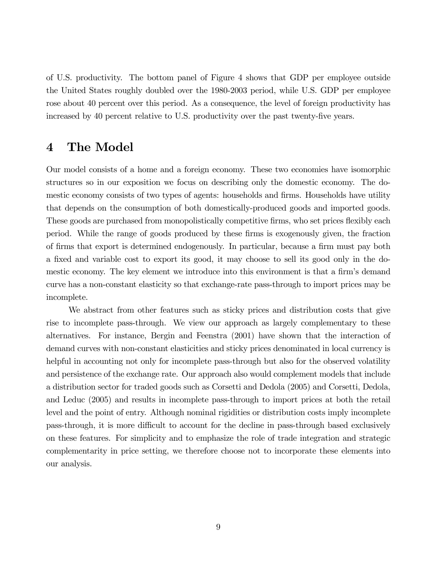of U.S. productivity. The bottom panel of Figure 4 shows that GDP per employee outside the United States roughly doubled over the 1980-2003 period, while U.S. GDP per employee rose about 40 percent over this period. As a consequence, the level of foreign productivity has increased by 40 percent relative to U.S. productivity over the past twenty-five years.

# 4 The Model

Our model consists of a home and a foreign economy. These two economies have isomorphic structures so in our exposition we focus on describing only the domestic economy. The domestic economy consists of two types of agents: households and firms. Households have utility that depends on the consumption of both domestically-produced goods and imported goods. These goods are purchased from monopolistically competitive firms, who set prices flexibly each period. While the range of goods produced by these firms is exogenously given, the fraction of firms that export is determined endogenously. In particular, because a firm must pay both a fixed and variable cost to export its good, it may choose to sell its good only in the domestic economy. The key element we introduce into this environment is that a firm's demand curve has a non-constant elasticity so that exchange-rate pass-through to import prices may be incomplete.

We abstract from other features such as sticky prices and distribution costs that give rise to incomplete pass-through. We view our approach as largely complementary to these alternatives. For instance, Bergin and Feenstra (2001) have shown that the interaction of demand curves with non-constant elasticities and sticky prices denominated in local currency is helpful in accounting not only for incomplete pass-through but also for the observed volatility and persistence of the exchange rate. Our approach also would complement models that include a distribution sector for traded goods such as Corsetti and Dedola (2005) and Corsetti, Dedola, and Leduc (2005) and results in incomplete pass-through to import prices at both the retail level and the point of entry. Although nominal rigidities or distribution costs imply incomplete pass-through, it is more difficult to account for the decline in pass-through based exclusively on these features. For simplicity and to emphasize the role of trade integration and strategic complementarity in price setting, we therefore choose not to incorporate these elements into our analysis.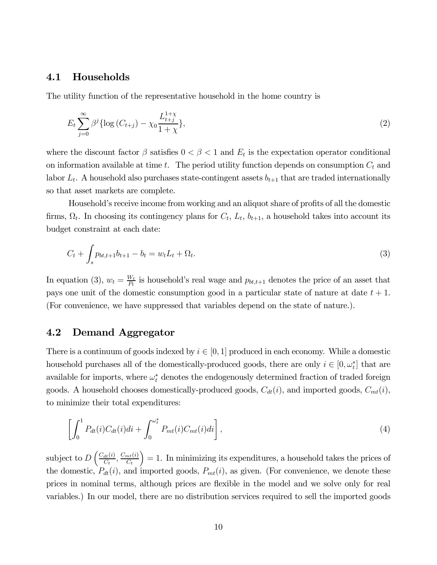#### 4.1 Households

The utility function of the representative household in the home country is

$$
E_t \sum_{j=0}^{\infty} \beta^j \{ \log (C_{t+j}) - \chi_0 \frac{L_{t+j}^{1+\chi}}{1+\chi} \},\tag{2}
$$

where the discount factor  $\beta$  satisfies  $0 < \beta < 1$  and  $E_t$  is the expectation operator conditional on information available at time t. The period utility function depends on consumption  $C_t$  and labor  $L_t$ . A household also purchases state-contingent assets  $b_{t+1}$  that are traded internationally so that asset markets are complete.

Household's receive income from working and an aliquot share of profits of all the domestic firms,  $\Omega_t$ . In choosing its contingency plans for  $C_t$ ,  $L_t$ ,  $b_{t+1}$ , a household takes into account its budget constraint at each date:

$$
C_t + \int_s p_{bt, t+1} b_{t+1} - b_t = w_t L_t + \Omega_t.
$$
\n(3)

In equation (3),  $w_t = \frac{W_t}{P_t}$  is household's real wage and  $p_{bt,t+1}$  denotes the price of an asset that pays one unit of the domestic consumption good in a particular state of nature at date  $t + 1$ . (For convenience, we have suppressed that variables depend on the state of nature.).

#### 4.2 Demand Aggregator

There is a continuum of goods indexed by  $i \in [0,1]$  produced in each economy. While a domestic household purchases all of the domestically-produced goods, there are only  $i \in [0, \omega_t^*]$  that are available for imports, where  $\omega_t^*$  denotes the endogenously determined fraction of traded foreign goods. A household chooses domestically-produced goods,  $C_{dt}(i)$ , and imported goods,  $C_{mt}(i)$ , to minimize their total expenditures:

$$
\left[\int_0^1 P_{dt}(i)C_{dt}(i)di + \int_0^{\omega_t^*} P_{mt}(i)C_{mt}(i)di\right],\tag{4}
$$

subject to  $D\left(\frac{C_{dt}(i)}{C_t}, \frac{C_{mt}(i)}{C_t}\right)$  $= 1.$  In minimizing its expenditures, a household takes the prices of the domestic,  $P_{dt}(i)$ , and imported goods,  $P_{mt}(i)$ , as given. (For convenience, we denote these prices in nominal terms, although prices are flexible in the model and we solve only for real variables.) In our model, there are no distribution services required to sell the imported goods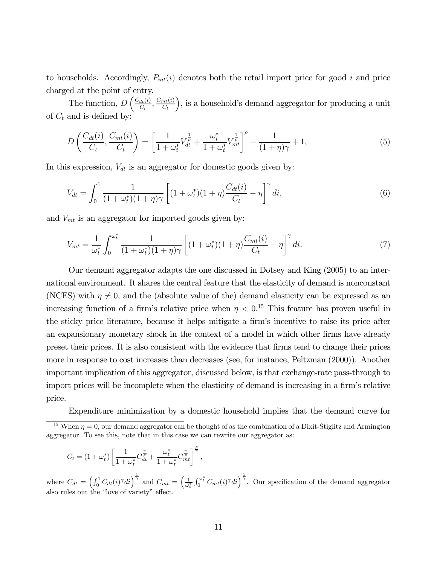to households. Accordingly,  $P_{mt}(i)$  denotes both the retail import price for good i and price charged at the point of entry.

The function,  $D\left(\frac{C_{dt}(i)}{C_t}, \frac{C_{mt}(i)}{C_t}\right)$ ), is a household's demand aggregator for producing a unit of  $C_t$  and is defined by:

$$
D\left(\frac{C_{dt}(i)}{C_t}, \frac{C_{mt}(i)}{C_t}\right) = \left[\frac{1}{1 + \omega_t^*}V_{dt}^{\frac{1}{\rho}} + \frac{\omega_t^*}{1 + \omega_t^*}V_{mt}^{\frac{1}{\rho}}\right]^\rho - \frac{1}{(1 + \eta)\gamma} + 1,\tag{5}
$$

In this expression,  $V_{dt}$  is an aggregator for domestic goods given by:

$$
V_{dt} = \int_0^1 \frac{1}{(1 + \omega_t^*)(1 + \eta)\gamma} \left[ (1 + \omega_t^*)(1 + \eta) \frac{C_{dt}(i)}{C_t} - \eta \right]^\gamma di,
$$
\n(6)

and  $V_{mt}$  is an aggregator for imported goods given by:

$$
V_{mt} = \frac{1}{\omega_t^*} \int_0^{\omega_t^*} \frac{1}{(1 + \omega_t^*)(1 + \eta)\gamma} \left[ (1 + \omega_t^*)(1 + \eta) \frac{C_{mt}(i)}{C_t} - \eta \right]^\gamma di. \tag{7}
$$

Our demand aggregator adapts the one discussed in Dotsey and King (2005) to an international environment. It shares the central feature that the elasticity of demand is nonconstant (NCES) with  $\eta \neq 0$ , and the (absolute value of the) demand elasticity can be expressed as an increasing function of a firm's relative price when  $\eta < 0$ .<sup>15</sup> This feature has proven useful in the sticky price literature, because it helps mitigate a firm's incentive to raise its price after an expansionary monetary shock in the context of a model in which other firms have already preset their prices. It is also consistent with the evidence that firms tend to change their prices more in response to cost increases than decreases (see, for instance, Peltzman (2000)). Another important implication of this aggregator, discussed below, is that exchange-rate pass-through to import prices will be incomplete when the elasticity of demand is increasing in a firm's relative price.

Expenditure minimization by a domestic household implies that the demand curve for

$$
C_t = (1 + \omega_t^*) \left[ \frac{1}{1 + \omega_t^*} C_{dt}^{\frac{\gamma}{\rho}} + \frac{\omega_t^*}{1 + \omega_t^*} C_{mt}^{\frac{\gamma}{\rho}} \right]^{\frac{\rho}{\gamma}},
$$

where  $C_{dt} = \left(\int_0^1 C_{dt}(i)^{\gamma} di\right)^{\frac{1}{\gamma}}$  and  $C_{mt} = \left(\frac{1}{\omega_t^*} \int_0^{\omega_t^*} C_{mt}(i)^{\gamma} di\right)^{\frac{1}{\gamma}}$ . Our specification of the demand aggregator also rules out the "love of variety" effect.

<sup>&</sup>lt;sup>15</sup> When  $\eta = 0$ , our demand aggregator can be thought of as the combination of a Dixit-Stiglitz and Armington aggregator. To see this, note that in this case we can rewrite our aggregator as: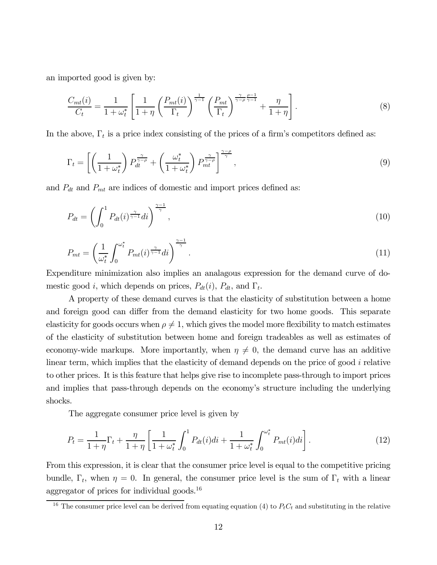an imported good is given by:

$$
\frac{C_{mt}(i)}{C_t} = \frac{1}{1 + \omega_t^*} \left[ \frac{1}{1 + \eta} \left( \frac{P_{mt}(i)}{\Gamma_t} \right)^{\frac{1}{\gamma - 1}} \left( \frac{P_{mt}}{\Gamma_t} \right)^{\frac{\gamma}{\gamma - \rho} \frac{\rho - 1}{\gamma - 1}} + \frac{\eta}{1 + \eta} \right]. \tag{8}
$$

In the above,  $\Gamma_t$  is a price index consisting of the prices of a firm's competitors defined as:

$$
\Gamma_t = \left[ \left( \frac{1}{1 + \omega_t^*} \right) P_{dt}^{\frac{\gamma}{\gamma - \rho}} + \left( \frac{\omega_t^*}{1 + \omega_t^*} \right) P_{mt}^{\frac{\gamma}{\gamma - \rho}} \right]^{\frac{\gamma - \rho}{\gamma}},\tag{9}
$$

and  $P_{dt}$  and  $P_{mt}$  are indices of domestic and import prices defined as:

$$
P_{dt} = \left(\int_0^1 P_{dt}(i)^{\frac{\gamma}{\gamma - 1}} di\right)^{\frac{\gamma - 1}{\gamma}},\tag{10}
$$

$$
P_{mt} = \left(\frac{1}{\omega_t^*} \int_0^{\omega_t^*} P_{mt}(i)^{\frac{\gamma}{\gamma-1}} di\right)^{\frac{\gamma-1}{\gamma}}.
$$
\n(11)

Expenditure minimization also implies an analagous expression for the demand curve of domestic good i, which depends on prices,  $P_{dt}(i)$ ,  $P_{dt}$ , and  $\Gamma_t$ .

A property of these demand curves is that the elasticity of substitution between a home and foreign good can differ from the demand elasticity for two home goods. This separate elasticity for goods occurs when  $\rho \neq 1$ , which gives the model more flexibility to match estimates of the elasticity of substitution between home and foreign tradeables as well as estimates of economy-wide markups. More importantly, when  $\eta \neq 0$ , the demand curve has an additive linear term, which implies that the elasticity of demand depends on the price of good i relative to other prices. It is this feature that helps give rise to incomplete pass-through to import prices and implies that pass-through depends on the economy's structure including the underlying shocks.

The aggregate consumer price level is given by

$$
P_t = \frac{1}{1+\eta} \Gamma_t + \frac{\eta}{1+\eta} \left[ \frac{1}{1+\omega_t^*} \int_0^1 P_{dt}(i) di + \frac{1}{1+\omega_t^*} \int_0^{\omega_t^*} P_{mt}(i) di \right]. \tag{12}
$$

From this expression, it is clear that the consumer price level is equal to the competitive pricing bundle,  $\Gamma_t$ , when  $\eta = 0$ . In general, the consumer price level is the sum of  $\Gamma_t$  with a linear aggregator of prices for individual goods.<sup>16</sup>

<sup>&</sup>lt;sup>16</sup> The consumer price level can be derived from equating equation (4) to  $P_tC_t$  and substituting in the relative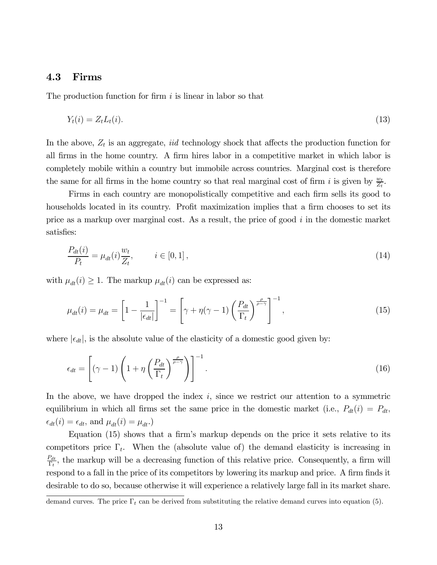#### 4.3 Firms

The production function for firm  $i$  is linear in labor so that

$$
Y_t(i) = Z_t L_t(i). \tag{13}
$$

In the above,  $Z_t$  is an aggregate, *iid* technology shock that affects the production function for all firms in the home country. A firm hires labor in a competitive market in which labor is completely mobile within a country but immobile across countries. Marginal cost is therefore the same for all firms in the home country so that real marginal cost of firm i is given by  $\frac{w_t}{Z_t}$ .

Firms in each country are monopolistically competitive and each firm sells its good to households located in its country. Profit maximization implies that a firm chooses to set its price as a markup over marginal cost. As a result, the price of good  $i$  in the domestic market satisfies:

$$
\frac{P_{dt}(i)}{P_t} = \mu_{dt}(i)\frac{w_t}{Z_t}, \qquad i \in [0, 1],
$$
\n(14)

with  $\mu_{dt}(i) \geq 1$ . The markup  $\mu_{dt}(i)$  can be expressed as:

$$
\mu_{dt}(i) = \mu_{dt} = \left[1 - \frac{1}{|\epsilon_{dt}|}\right]^{-1} = \left[\gamma + \eta(\gamma - 1)\left(\frac{P_{dt}}{\Gamma_t}\right)^{\frac{\rho}{\rho - \gamma}}\right]^{-1},\tag{15}
$$

where  $|\epsilon_{dt}|$ , is the absolute value of the elasticity of a domestic good given by:

$$
\epsilon_{dt} = \left[ (\gamma - 1) \left( 1 + \eta \left( \frac{P_{dt}}{\Gamma_t} \right)^{\frac{\rho}{\rho - \gamma}} \right) \right]^{-1} . \tag{16}
$$

In the above, we have dropped the index  $i$ , since we restrict our attention to a symmetric equilibrium in which all firms set the same price in the domestic market (i.e.,  $P_{dt}(i) = P_{dt}$ ,  $\epsilon_{dt}(i) = \epsilon_{dt}$ , and  $\mu_{dt}(i) = \mu_{dt}$ .)

Equation (15) shows that a firm's markup depends on the price it sets relative to its competitors price  $\Gamma_t$ . When the (absolute value of) the demand elasticity is increasing in  $\frac{P_{dt}}{\Gamma_t}$ , the markup will be a decreasing function of this relative price. Consequently, a firm will respond to a fall in the price of its competitors by lowering its markup and price. A firm finds it desirable to do so, because otherwise it will experience a relatively large fall in its market share.

demand curves. The price  $\Gamma_t$  can be derived from substituting the relative demand curves into equation (5).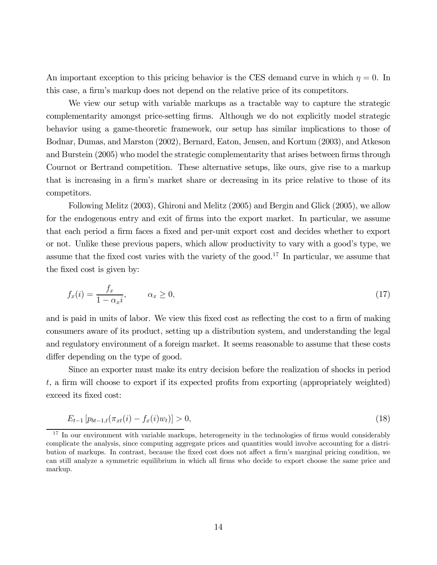An important exception to this pricing behavior is the CES demand curve in which  $\eta = 0$ . In this case, a firm's markup does not depend on the relative price of its competitors.

We view our setup with variable markups as a tractable way to capture the strategic complementarity amongst price-setting firms. Although we do not explicitly model strategic behavior using a game-theoretic framework, our setup has similar implications to those of Bodnar, Dumas, and Marston (2002), Bernard, Eaton, Jensen, and Kortum (2003), and Atkeson and Burstein (2005) who model the strategic complementarity that arises between firms through Cournot or Bertrand competition. These alternative setups, like ours, give rise to a markup that is increasing in a firm's market share or decreasing in its price relative to those of its competitors.

Following Melitz (2003), Ghironi and Melitz (2005) and Bergin and Glick (2005), we allow for the endogenous entry and exit of firms into the export market. In particular, we assume that each period a firm faces a fixed and per-unit export cost and decides whether to export or not. Unlike these previous papers, which allow productivity to vary with a good's type, we assume that the fixed cost varies with the variety of the good.<sup>17</sup> In particular, we assume that the fixed cost is given by:

$$
f_x(i) = \frac{f_x}{1 - \alpha_x i}, \qquad \alpha_x \ge 0,
$$
\n(17)

and is paid in units of labor. We view this fixed cost as reflecting the cost to a firm of making consumers aware of its product, setting up a distribution system, and understanding the legal and regulatory environment of a foreign market. It seems reasonable to assume that these costs differ depending on the type of good.

Since an exporter must make its entry decision before the realization of shocks in period t, a firm will choose to export if its expected profits from exporting (appropriately weighted) exceed its fixed cost:

$$
E_{t-1}[p_{bt-1,t}(\pi_{xt}(i) - f_x(i)w_t)] > 0,
$$
\n(18)

<sup>&</sup>lt;sup>17</sup> In our environment with variable markups, heterogeneity in the technologies of firms would considerably complicate the analysis, since computing aggregate prices and quantities would involve accounting for a distribution of markups. In contrast, because the fixed cost does not affect a firm's marginal pricing condition, we can still analyze a symmetric equilibrium in which all firms who decide to export choose the same price and markup.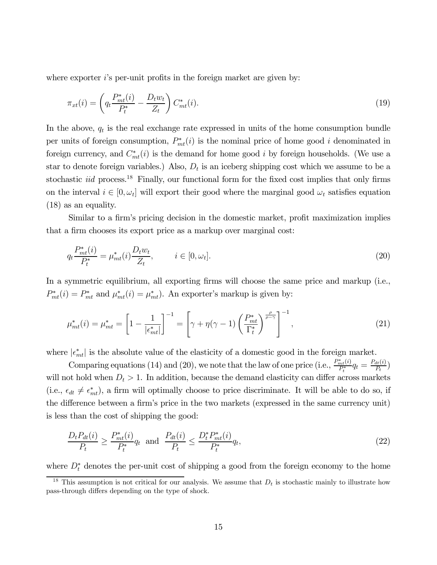where exporter i's per-unit profits in the foreign market are given by:

$$
\pi_{xt}(i) = \left(q_t \frac{P_{mt}^*(i)}{P_t^*} - \frac{D_t w_t}{Z_t}\right) C_{mt}^*(i).
$$
\n(19)

In the above,  $q_t$  is the real exchange rate expressed in units of the home consumption bundle per units of foreign consumption,  $P_{mt}^*(i)$  is the nominal price of home good i denominated in foreign currency, and  $C<sub>mt</sub><sup>*</sup>(i)$  is the demand for home good i by foreign households. (We use a star to denote foreign variables.) Also,  $D_t$  is an iceberg shipping cost which we assume to be a stochastic *iid* process.<sup>18</sup> Finally, our functional form for the fixed cost implies that only firms on the interval  $i \in [0, \omega_t]$  will export their good where the marginal good  $\omega_t$  satisfies equation (18) as an equality.

Similar to a firm's pricing decision in the domestic market, profit maximization implies that a firm chooses its export price as a markup over marginal cost:

$$
q_t \frac{P_{mt}^*(i)}{P_t^*} = \mu_{mt}^*(i) \frac{D_t w_t}{Z_t}, \qquad i \in [0, \omega_t].
$$
\n(20)

In a symmetric equilibrium, all exporting firms will choose the same price and markup (i.e.,  $P_{mt}^*(i) = P_{mt}^*$  and  $\mu_{mt}^*(i) = \mu_{mt}^*$ ). An exporter's markup is given by:

$$
\mu_{mt}^*(i) = \mu_{mt}^* = \left[1 - \frac{1}{|\epsilon_{mt}^*|}\right]^{-1} = \left[\gamma + \eta(\gamma - 1)\left(\frac{P_{mt}^*}{\Gamma_t^*}\right)^{\frac{\rho}{\rho - \gamma}}\right]^{-1},\tag{21}
$$

where  $|\epsilon_{mt}^*|$  is the absolute value of the elasticity of a domestic good in the foreign market.

Comparing equations (14) and (20), we note that the law of one price (i.e.,  $\frac{P_{m}^{*}(i)}{P^{*}}$  $\frac{f_{m}^{*}(i)}{P_{t}^{*}}q_{t} = \frac{P_{dt}(i)}{P_{t}})$ will not hold when  $D_t > 1$ . In addition, because the demand elasticity can differ across markets (i.e.,  $\epsilon_{dt} \neq \epsilon_{mt}^{*}$ ), a firm will optimally choose to price discriminate. It will be able to do so, if the difference between a firm's price in the two markets (expressed in the same currency unit) is less than the cost of shipping the good:

$$
\frac{D_t P_{dt}(i)}{P_t} \ge \frac{P_{mt}^*(i)}{P_t^*} q_t \text{ and } \frac{P_{dt}(i)}{P_t} \le \frac{D_t^* P_{mt}^*(i)}{P_t^*} q_t,
$$
\n(22)

where  $D_t^*$  denotes the per-unit cost of shipping a good from the foreign economy to the home

<sup>&</sup>lt;sup>18</sup> This assumption is not critical for our analysis. We assume that  $D_t$  is stochastic mainly to illustrate how pass-through differs depending on the type of shock.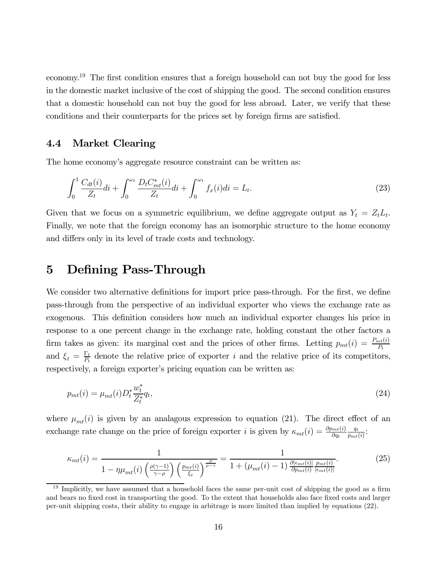economy.19 The first condition ensures that a foreign household can not buy the good for less in the domestic market inclusive of the cost of shipping the good. The second condition ensures that a domestic household can not buy the good for less abroad. Later, we verify that these conditions and their counterparts for the prices set by foreign firms are satisfied.

#### 4.4 Market Clearing

The home economy's aggregate resource constraint can be written as:

$$
\int_0^1 \frac{C_{dt}(i)}{Z_t} dt + \int_0^{\omega_t} \frac{D_t C_{mt}^*(i)}{Z_t} dt + \int_0^{\omega_t} f_x(i) di = L_t.
$$
\n(23)

Given that we focus on a symmetric equilibrium, we define aggregate output as  $Y_t = Z_t L_t$ . Finally, we note that the foreign economy has an isomorphic structure to the home economy and differs only in its level of trade costs and technology.

## 5 Defining Pass-Through

We consider two alternative definitions for import price pass-through. For the first, we define pass-through from the perspective of an individual exporter who views the exchange rate as exogenous. This definition considers how much an individual exporter changes his price in response to a one percent change in the exchange rate, holding constant the other factors a firm takes as given: its marginal cost and the prices of other firms. Letting  $p_{mt}(i) = \frac{P_{mt}(i)}{P_t}$ and  $\xi_t = \frac{\Gamma_t}{P_t}$  denote the relative price of exporter i and the relative price of its competitors, respectively, a foreign exporter's pricing equation can be written as:

$$
p_{mt}(i) = \mu_{mt}(i) D_t^* \frac{w_t^*}{Z_t^*} q_t,
$$
\n(24)

where  $\mu_{mt}(i)$  is given by an analagous expression to equation (21). The direct effect of an exchange rate change on the price of foreign exporter *i* is given by  $\kappa_{mt}(i) = \frac{\partial p_{mt}(i)}{\partial q_t}$  $\frac{q_t}{p_{mt}(i)}$ :

$$
\kappa_{mt}(i) = \frac{1}{1 - \eta \mu_{mt}(i) \left(\frac{\rho(\gamma - 1)}{\gamma - \rho}\right) \left(\frac{p_{mt}(i)}{\xi_t}\right)^{\frac{\rho}{\rho - \gamma}}} = \frac{1}{1 + (\mu_{mt}(i) - 1) \frac{\partial |\epsilon_{mt}(i)|}{\partial p_{mt}(i)} \frac{p_{mt}(i)}{|\epsilon_{mt}(i)|}}.
$$
(25)

 $19$  Implicitly, we have assumed that a household faces the same per-unit cost of shipping the good as a firm and bears no fixed cost in transporting the good. To the extent that households also face fixed costs and larger per-unit shipping costs, their ability to engage in arbitrage is more limited than implied by equations (22).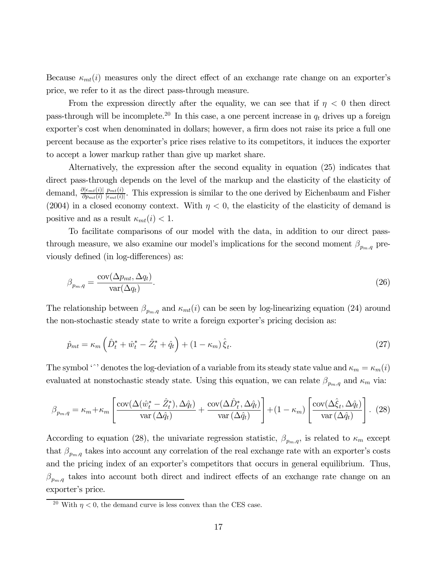Because  $\kappa_{mt}(i)$  measures only the direct effect of an exchange rate change on an exporter's price, we refer to it as the direct pass-through measure.

From the expression directly after the equality, we can see that if  $\eta < 0$  then direct pass-through will be incomplete.<sup>20</sup> In this case, a one percent increase in  $q_t$  drives up a foreign exporter's cost when denominated in dollars; however, a firm does not raise its price a full one percent because as the exporter's price rises relative to its competitors, it induces the exporter to accept a lower markup rather than give up market share.

Alternatively, the expression after the second equality in equation (25) indicates that direct pass-through depends on the level of the markup and the elasticity of the elasticity of demand,  $\frac{\partial |\epsilon_{mt}(i)|}{\partial p_{mt}(i)}$  $p_{mt}(i)$  $\frac{p_{mt}(i)}{|\epsilon_{mt}(i)|}$ . This expression is similar to the one derived by Eichenbaum and Fisher (2004) in a closed economy context. With  $\eta < 0$ , the elasticity of the elasticity of demand is positive and as a result  $\kappa_{mt}(i) < 1$ .

To facilitate comparisons of our model with the data, in addition to our direct passthrough measure, we also examine our model's implications for the second moment  $\beta_{p_m,q}$  previously defined (in log-differences) as:

$$
\beta_{p_m,q} = \frac{\text{cov}(\Delta p_{mt}, \Delta q_t)}{\text{var}(\Delta q_t)}.
$$
\n(26)

The relationship between  $\beta_{p_m,q}$  and  $\kappa_{mt}(i)$  can be seen by log-linearizing equation (24) around the non-stochastic steady state to write a foreign exporter's pricing decision as:

$$
\hat{p}_{mt} = \kappa_m \left( \hat{D}_t^* + \hat{w}_t^* - \hat{Z}_t^* + \hat{q}_t \right) + (1 - \kappa_m) \hat{\xi}_t.
$$
\n(27)

The symbol '<sup>o</sup>' denotes the log-deviation of a variable from its steady state value and  $\kappa_m = \kappa_m(i)$ evaluated at nonstochastic steady state. Using this equation, we can relate  $\beta_{p_m,q}$  and  $\kappa_m$  via:

$$
\beta_{p_m,q} = \kappa_m + \kappa_m \left[ \frac{\text{cov}(\Delta(\hat{w}_t^* - \hat{Z}_t^*), \Delta \hat{q}_t)}{\text{var}(\Delta \hat{q}_t)} + \frac{\text{cov}(\Delta \hat{D}_t^*, \Delta \hat{q}_t)}{\text{var}(\Delta \hat{q}_t)} \right] + (1 - \kappa_m) \left[ \frac{\text{cov}(\Delta \hat{\xi}_t, \Delta \hat{q}_t)}{\text{var}(\Delta \hat{q}_t)} \right].
$$
 (28)

According to equation (28), the univariate regression statistic,  $\beta_{p_m,q}$ , is related to  $\kappa_m$  except that  $\beta_{p_m,q}$  takes into account any correlation of the real exchange rate with an exporter's costs and the pricing index of an exporter's competitors that occurs in general equilibrium. Thus,  $\beta_{p_m,q}$  takes into account both direct and indirect effects of an exchange rate change on an exporter's price.

<sup>&</sup>lt;sup>20</sup> With  $\eta$  < 0, the demand curve is less convex than the CES case.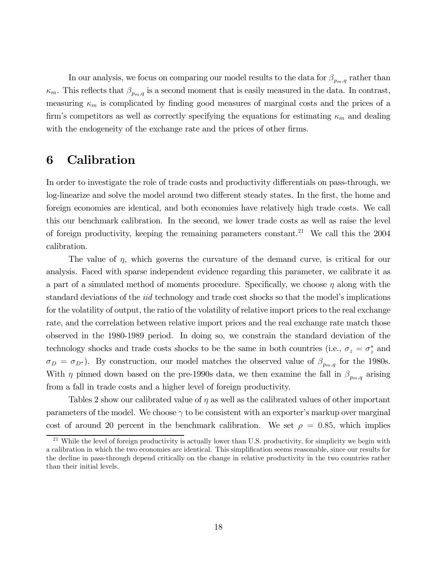In our analysis, we focus on comparing our model results to the data for  $\beta_{p_m,q}$  rather than  $\kappa_m$ . This reflects that  $\beta_{p_m,q}$  is a second moment that is easily measured in the data. In contrast, measuring  $\kappa_m$  is complicated by finding good measures of marginal costs and the prices of a firm's competitors as well as correctly specifying the equations for estimating  $\kappa_m$  and dealing with the endogeneity of the exchange rate and the prices of other firms.

# 6 Calibration

In order to investigate the role of trade costs and productivity differentials on pass-through, we log-linearize and solve the model around two different steady states. In the first, the home and foreign economies are identical, and both economies have relatively high trade costs. We call this our benchmark calibration. In the second, we lower trade costs as well as raise the level of foreign productivity, keeping the remaining parameters constant.21 We call this the 2004 calibration.

The value of  $\eta$ , which governs the curvature of the demand curve, is critical for our analysis. Faced with sparse independent evidence regarding this parameter, we calibrate it as a part of a simulated method of moments procedure. Specifically, we choose  $\eta$  along with the standard deviations of the *iid* technology and trade cost shocks so that the model's implications for the volatility of output, the ratio of the volatility of relative import prices to the real exchange rate, and the correlation between relative import prices and the real exchange rate match those observed in the 1980-1989 period. In doing so, we constrain the standard deviation of the technology shocks and trade costs shocks to be the same in both countries (i.e.,  $\sigma_z = \sigma_z^*$ ) and  $\sigma_D = \sigma_{D^*}$ ). By construction, our model matches the observed value of  $\beta_{p_m,q}$  for the 1980s. With  $\eta$  pinned down based on the pre-1990s data, we then examine the fall in  $\beta_{p_m,q}$  arising from a fall in trade costs and a higher level of foreign productivity.

Tables 2 show our calibrated value of  $\eta$  as well as the calibrated values of other important parameters of the model. We choose  $\gamma$  to be consistent with an exporter's markup over marginal cost of around 20 percent in the benchmark calibration. We set  $\rho = 0.85$ , which implies

<sup>&</sup>lt;sup>21</sup> While the level of foreign productivity is actually lower than U.S. productivity, for simplicity we begin with a calibration in which the two economies are identical. This simplification seems reasonable, since our results for the decline in pass-through depend critically on the change in relative productivity in the two countries rather than their initial levels.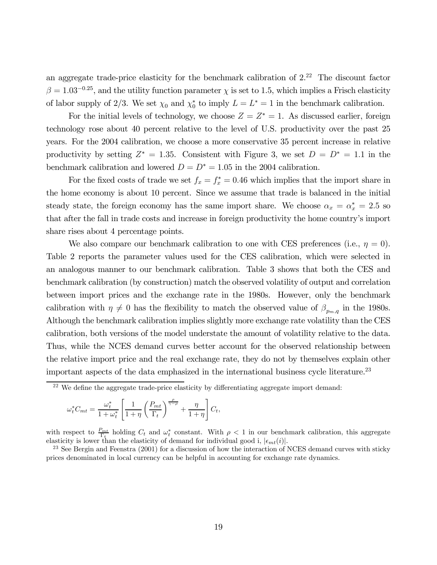an aggregate trade-price elasticity for the benchmark calibration of  $2^{22}$ . The discount factor  $\beta = 1.03^{-0.25}$ , and the utility function parameter  $\chi$  is set to 1.5, which implies a Frisch elasticity of labor supply of 2/3. We set  $\chi_0$  and  $\chi_0^*$  to imply  $L = L^* = 1$  in the benchmark calibration.

For the initial levels of technology, we choose  $Z = Z^* = 1$ . As discussed earlier, foreign technology rose about 40 percent relative to the level of U.S. productivity over the past 25 years. For the 2004 calibration, we choose a more conservative 35 percent increase in relative productivity by setting  $Z^* = 1.35$ . Consistent with Figure 3, we set  $D = D^* = 1.1$  in the benchmark calibration and lowered  $D = D^* = 1.05$  in the 2004 calibration.

For the fixed costs of trade we set  $f_x = f_x^* = 0.46$  which implies that the import share in the home economy is about 10 percent. Since we assume that trade is balanced in the initial steady state, the foreign economy has the same import share. We choose  $\alpha_x = \alpha_x^* = 2.5$  so that after the fall in trade costs and increase in foreign productivity the home country's import share rises about 4 percentage points.

We also compare our benchmark calibration to one with CES preferences (i.e.,  $\eta = 0$ ). Table 2 reports the parameter values used for the CES calibration, which were selected in an analogous manner to our benchmark calibration. Table 3 shows that both the CES and benchmark calibration (by construction) match the observed volatility of output and correlation between import prices and the exchange rate in the 1980s. However, only the benchmark calibration with  $\eta \neq 0$  has the flexibility to match the observed value of  $\beta_{p_m,q}$  in the 1980s. Although the benchmark calibration implies slightly more exchange rate volatility than the CES calibration, both versions of the model understate the amount of volatility relative to the data. Thus, while the NCES demand curves better account for the observed relationship between the relative import price and the real exchange rate, they do not by themselves explain other important aspects of the data emphasized in the international business cycle literature.<sup>23</sup>

$$
\omega_t^* C_{mt} = \frac{\omega_t^*}{1 + \omega_t^*} \left[ \frac{1}{1 + \eta} \left( \frac{P_{mt}}{\Gamma_t} \right)^{\frac{\rho}{\gamma - \rho}} + \frac{\eta}{1 + \eta} \right] C_t,
$$

with respect to  $\frac{P_{mt}}{\Gamma_t}$  holding  $C_t$  and  $\omega_t^*$  constant. With  $\rho < 1$  in our benchmark calibration, this aggregate elasticity is lower than the elasticity of demand for individual good i,  $|\epsilon_{mt}(i)|$ .<br><sup>23</sup> See Bergin and Feenstra (2001) for a discussion of how the interaction of NCES demand curves with sticky

prices denominated in local currency can be helpful in accounting for exchange rate dynamics.

 $^{22}$  We define the aggregate trade-price elasticity by differentiating aggregate import demand: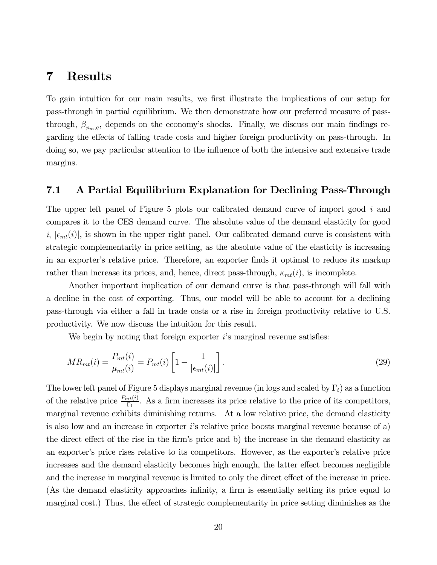### 7 Results

To gain intuition for our main results, we first illustrate the implications of our setup for pass-through in partial equilibrium. We then demonstrate how our preferred measure of passthrough,  $\beta_{p_m,q}$ , depends on the economy's shocks. Finally, we discuss our main findings regarding the effects of falling trade costs and higher foreign productivity on pass-through. In doing so, we pay particular attention to the influence of both the intensive and extensive trade margins.

#### 7.1 A Partial Equilibrium Explanation for Declining Pass-Through

The upper left panel of Figure 5 plots our calibrated demand curve of import good i and compares it to the CES demand curve. The absolute value of the demand elasticity for good  $i, |\epsilon_{mt}(i)|$ , is shown in the upper right panel. Our calibrated demand curve is consistent with strategic complementarity in price setting, as the absolute value of the elasticity is increasing in an exporter's relative price. Therefore, an exporter finds it optimal to reduce its markup rather than increase its prices, and, hence, direct pass-through,  $\kappa_{mt}(i)$ , is incomplete.

Another important implication of our demand curve is that pass-through will fall with a decline in the cost of exporting. Thus, our model will be able to account for a declining pass-through via either a fall in trade costs or a rise in foreign productivity relative to U.S. productivity. We now discuss the intuition for this result.

We begin by noting that foreign exporter *i*'s marginal revenue satisfies:

$$
MR_{mt}(i) = \frac{P_{mt}(i)}{\mu_{mt}(i)} = P_{mt}(i) \left[ 1 - \frac{1}{|\epsilon_{mt}(i)|} \right].
$$
 (29)

The lower left panel of Figure 5 displays marginal revenue (in logs and scaled by  $\Gamma_t$ ) as a function of the relative price  $\frac{P_{mt}(i)}{\Gamma_t}$ . As a firm increases its price relative to the price of its competitors, marginal revenue exhibits diminishing returns. At a low relative price, the demand elasticity is also low and an increase in exporter i's relative price boosts marginal revenue because of a) the direct effect of the rise in the firm's price and b) the increase in the demand elasticity as an exporter's price rises relative to its competitors. However, as the exporter's relative price increases and the demand elasticity becomes high enough, the latter effect becomes negligible and the increase in marginal revenue is limited to only the direct effect of the increase in price. (As the demand elasticity approaches infinity, a firm is essentially setting its price equal to marginal cost.) Thus, the effect of strategic complementarity in price setting diminishes as the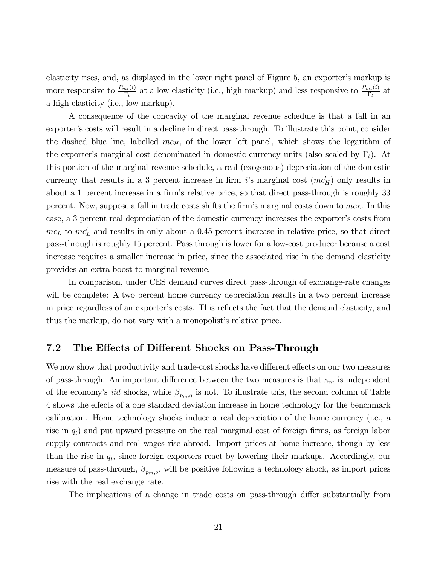elasticity rises, and, as displayed in the lower right panel of Figure 5, an exporter's markup is more responsive to  $\frac{P_{mt}(i)}{\Gamma_t}$  at a low elasticity (i.e., high markup) and less responsive to  $\frac{P_{mt}(i)}{\Gamma_t}$  at a high elasticity (i.e., low markup).

A consequence of the concavity of the marginal revenue schedule is that a fall in an exporter's costs will result in a decline in direct pass-through. To illustrate this point, consider the dashed blue line, labelled  $mc_H$ , of the lower left panel, which shows the logarithm of the exporter's marginal cost denominated in domestic currency units (also scaled by  $\Gamma_t$ ). At this portion of the marginal revenue schedule, a real (exogenous) depreciation of the domestic currency that results in a 3 percent increase in firm i's marginal cost  $(mc'_H)$  only results in about a 1 percent increase in a firm's relative price, so that direct pass-through is roughly 33 percent. Now, suppose a fall in trade costs shifts the firm's marginal costs down to  $mc<sub>L</sub>$ . In this case, a 3 percent real depreciation of the domestic currency increases the exporter's costs from  $mc<sub>L</sub>$  to  $mc'<sub>L</sub>$  and results in only about a 0.45 percent increase in relative price, so that direct pass-through is roughly 15 percent. Pass through is lower for a low-cost producer because a cost increase requires a smaller increase in price, since the associated rise in the demand elasticity provides an extra boost to marginal revenue.

In comparison, under CES demand curves direct pass-through of exchange-rate changes will be complete: A two percent home currency depreciation results in a two percent increase in price regardless of an exporter's costs. This reflects the fact that the demand elasticity, and thus the markup, do not vary with a monopolist's relative price.

#### 7.2 The Effects of Different Shocks on Pass-Through

We now show that productivity and trade-cost shocks have different effects on our two measures of pass-through. An important difference between the two measures is that  $\kappa_m$  is independent of the economy's *iid* shocks, while  $\beta_{p_m,q}$  is not. To illustrate this, the second column of Table 4 shows the effects of a one standard deviation increase in home technology for the benchmark calibration. Home technology shocks induce a real depreciation of the home currency (i.e., a rise in  $q_t$ ) and put upward pressure on the real marginal cost of foreign firms, as foreign labor supply contracts and real wages rise abroad. Import prices at home increase, though by less than the rise in  $q_t$ , since foreign exporters react by lowering their markups. Accordingly, our measure of pass-through,  $\beta_{p_m,q}$ , will be positive following a technology shock, as import prices rise with the real exchange rate.

The implications of a change in trade costs on pass-through differ substantially from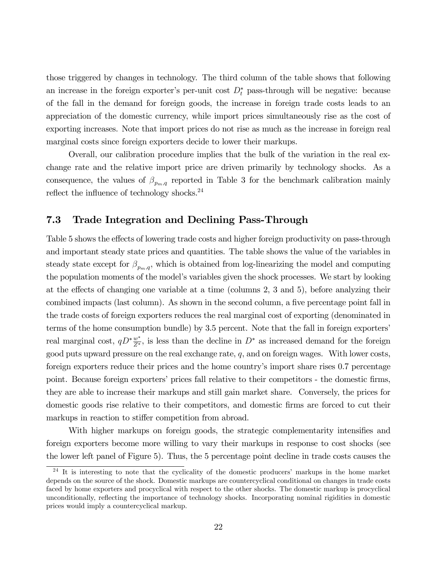those triggered by changes in technology. The third column of the table shows that following an increase in the foreign exporter's per-unit cost  $D_t^*$  pass-through will be negative: because of the fall in the demand for foreign goods, the increase in foreign trade costs leads to an appreciation of the domestic currency, while import prices simultaneously rise as the cost of exporting increases. Note that import prices do not rise as much as the increase in foreign real marginal costs since foreign exporters decide to lower their markups.

Overall, our calibration procedure implies that the bulk of the variation in the real exchange rate and the relative import price are driven primarily by technology shocks. As a consequence, the values of  $\beta_{p_m,q}$  reported in Table 3 for the benchmark calibration mainly reflect the influence of technology shocks.<sup>24</sup>

#### 7.3 Trade Integration and Declining Pass-Through

Table 5 shows the effects of lowering trade costs and higher foreign productivity on pass-through and important steady state prices and quantities. The table shows the value of the variables in steady state except for  $\beta_{p_m,q}$ , which is obtained from log-linearizing the model and computing the population moments of the model's variables given the shock processes. We start by looking at the effects of changing one variable at a time (columns 2, 3 and 5), before analyzing their combined impacts (last column). As shown in the second column, a five percentage point fall in the trade costs of foreign exporters reduces the real marginal cost of exporting (denominated in terms of the home consumption bundle) by 3.5 percent. Note that the fall in foreign exporters' real marginal cost,  $qD^*\frac{w^*}{Z^*}$ , is less than the decline in  $D^*$  as increased demand for the foreign good puts upward pressure on the real exchange rate,  $q$ , and on foreign wages. With lower costs, foreign exporters reduce their prices and the home country's import share rises 0.7 percentage point. Because foreign exporters' prices fall relative to their competitors - the domestic firms, they are able to increase their markups and still gain market share. Conversely, the prices for domestic goods rise relative to their competitors, and domestic firms are forced to cut their markups in reaction to stiffer competition from abroad.

With higher markups on foreign goods, the strategic complementarity intensifies and foreign exporters become more willing to vary their markups in response to cost shocks (see the lower left panel of Figure 5). Thus, the 5 percentage point decline in trade costs causes the

<sup>&</sup>lt;sup>24</sup> It is interesting to note that the cyclicality of the domestic producers' markups in the home market depends on the source of the shock. Domestic markups are countercyclical conditional on changes in trade costs faced by home exporters and procyclical with respect to the other shocks. The domestic markup is procyclical unconditionally, reflecting the importance of technology shocks. Incorporating nominal rigidities in domestic prices would imply a countercyclical markup.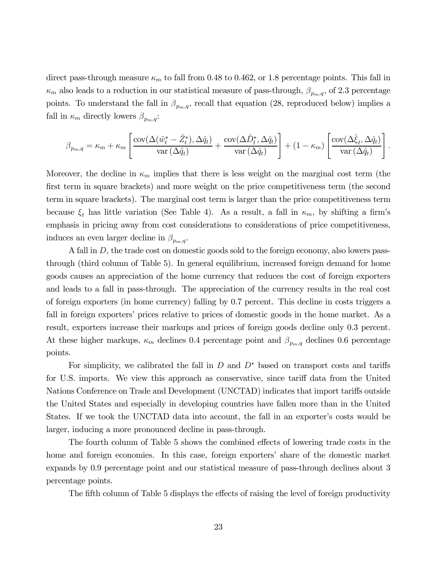direct pass-through measure  $\kappa_m$  to fall from 0.48 to 0.462, or 1.8 percentage points. This fall in  $\kappa_m$  also leads to a reduction in our statistical measure of pass-through,  $\beta_{p_m,q}$ , of 2.3 percentage points. To understand the fall in  $\beta_{p_m,q}$ , recall that equation (28, reproduced below) implies a fall in  $\kappa_m$  directly lowers  $\beta_{p_m,q}$ :

$$
\beta_{p_m,q} = \kappa_m + \kappa_m \left[ \frac{\text{cov}(\Delta(\hat{w}_t^* - \hat{Z}_t^*), \Delta \hat{q}_t)}{\text{var}(\Delta \hat{q}_t)} + \frac{\text{cov}(\Delta \hat{D}_t^*, \Delta \hat{q}_t)}{\text{var}(\Delta \hat{q}_t)} \right] + (1 - \kappa_m) \left[ \frac{\text{cov}(\Delta \hat{\xi}_t, \Delta \hat{q}_t)}{\text{var}(\Delta \hat{q}_t)} \right].
$$

Moreover, the decline in  $\kappa_m$  implies that there is less weight on the marginal cost term (the first term in square brackets) and more weight on the price competitiveness term (the second term in square brackets). The marginal cost term is larger than the price competitiveness term because  $\xi_t$  has little variation (See Table 4). As a result, a fall in  $\kappa_m$ , by shifting a firm's emphasis in pricing away from cost considerations to considerations of price competitiveness, induces an even larger decline in  $\beta_{p_m,q}$ .

A fall in D, the trade cost on domestic goods sold to the foreign economy, also lowers passthrough (third column of Table 5). In general equilibrium, increased foreign demand for home goods causes an appreciation of the home currency that reduces the cost of foreign exporters and leads to a fall in pass-through. The appreciation of the currency results in the real cost of foreign exporters (in home currency) falling by 0.7 percent. This decline in costs triggers a fall in foreign exporters' prices relative to prices of domestic goods in the home market. As a result, exporters increase their markups and prices of foreign goods decline only 0.3 percent. At these higher markups,  $\kappa_m$  declines 0.4 percentage point and  $\beta_{p_m,q}$  declines 0.6 percentage points.

For simplicity, we calibrated the fall in  $D$  and  $D^*$  based on transport costs and tariffs for U.S. imports. We view this approach as conservative, since tariff data from the United Nations Conference on Trade and Development (UNCTAD) indicates that import tariffs outside the United States and especially in developing countries have fallen more than in the United States. If we took the UNCTAD data into account, the fall in an exporter's costs would be larger, inducing a more pronounced decline in pass-through.

The fourth column of Table 5 shows the combined effects of lowering trade costs in the home and foreign economies. In this case, foreign exporters' share of the domestic market expands by 0.9 percentage point and our statistical measure of pass-through declines about 3 percentage points.

The fifth column of Table 5 displays the effects of raising the level of foreign productivity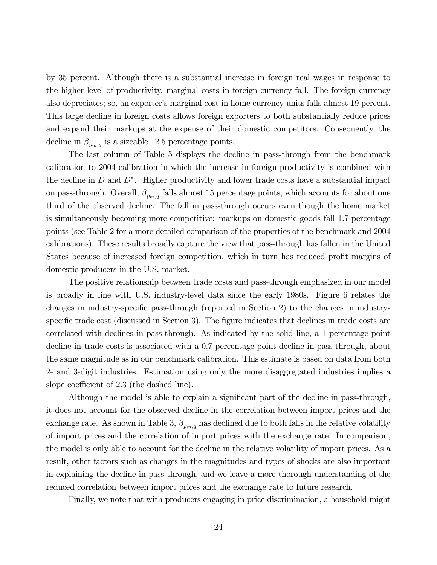by 35 percent. Although there is a substantial increase in foreign real wages in response to the higher level of productivity, marginal costs in foreign currency fall. The foreign currency also depreciates; so, an exporter's marginal cost in home currency units falls almost 19 percent. This large decline in foreign costs allows foreign exporters to both substantially reduce prices and expand their markups at the expense of their domestic competitors. Consequently, the decline in  $\beta_{p_m,q}$  is a sizeable 12.5 percentage points.

The last column of Table 5 displays the decline in pass-through from the benchmark calibration to 2004 calibration in which the increase in foreign productivity is combined with the decline in D and  $D^*$ . Higher productivity and lower trade costs have a substantial impact on pass-through. Overall,  $\beta_{p_m,q}$  falls almost 15 percentage points, which accounts for about one third of the observed decline. The fall in pass-through occurs even though the home market is simultaneously becoming more competitive: markups on domestic goods fall 1.7 percentage points (see Table 2 for a more detailed comparison of the properties of the benchmark and 2004 calibrations). These results broadly capture the view that pass-through has fallen in the United States because of increased foreign competition, which in turn has reduced profit margins of domestic producers in the U.S. market.

The positive relationship between trade costs and pass-through emphasized in our model is broadly in line with U.S. industry-level data since the early 1980s. Figure 6 relates the changes in industry-specific pass-through (reported in Section 2) to the changes in industryspecific trade cost (discussed in Section 3). The figure indicates that declines in trade costs are correlated with declines in pass-through. As indicated by the solid line, a 1 percentage point decline in trade costs is associated with a 0.7 percentage point decline in pass-through, about the same magnitude as in our benchmark calibration. This estimate is based on data from both 2- and 3-digit industries. Estimation using only the more disaggregated industries implies a slope coefficient of 2.3 (the dashed line).

Although the model is able to explain a significant part of the decline in pass-through, it does not account for the observed decline in the correlation between import prices and the exchange rate. As shown in Table 3,  $\beta_{p_m,q}$  has declined due to both falls in the relative volatility of import prices and the correlation of import prices with the exchange rate. In comparison, the model is only able to account for the decline in the relative volatility of import prices. As a result, other factors such as changes in the magnitudes and types of shocks are also important in explaining the decline in pass-through, and we leave a more thorough understanding of the reduced correlation between import prices and the exchange rate to future research.

Finally, we note that with producers engaging in price discrimination, a household might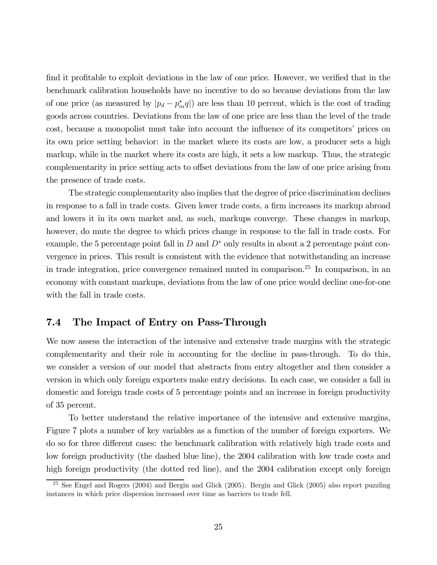find it profitable to exploit deviations in the law of one price. However, we verified that in the benchmark calibration households have no incentive to do so because deviations from the law of one price (as measured by  $|p_d - p_m^* q|$ ) are less than 10 percent, which is the cost of trading goods across countries. Deviations from the law of one price are less than the level of the trade cost, because a monopolist must take into account the influence of its competitors' prices on its own price setting behavior: in the market where its costs are low, a producer sets a high markup, while in the market where its costs are high, it sets a low markup. Thus, the strategic complementarity in price setting acts to offset deviations from the law of one price arising from the presence of trade costs.

The strategic complementarity also implies that the degree of price discrimination declines in response to a fall in trade costs. Given lower trade costs, a firm increases its markup abroad and lowers it in its own market and, as such, markups converge. These changes in markup, however, do mute the degree to which prices change in response to the fall in trade costs. For example, the 5 percentage point fall in D and  $D^*$  only results in about a 2 percentage point convergence in prices. This result is consistent with the evidence that notwithstanding an increase in trade integration, price convergence remained muted in comparison.25 In comparison, in an economy with constant markups, deviations from the law of one price would decline one-for-one with the fall in trade costs.

#### 7.4 The Impact of Entry on Pass-Through

We now assess the interaction of the intensive and extensive trade margins with the strategic complementarity and their role in accounting for the decline in pass-through. To do this, we consider a version of our model that abstracts from entry altogether and then consider a version in which only foreign exporters make entry decisions. In each case, we consider a fall in domestic and foreign trade costs of 5 percentage points and an increase in foreign productivity of 35 percent.

To better understand the relative importance of the intensive and extensive margins, Figure 7 plots a number of key variables as a function of the number of foreign exporters. We do so for three different cases: the benchmark calibration with relatively high trade costs and low foreign productivity (the dashed blue line), the 2004 calibration with low trade costs and high foreign productivity (the dotted red line), and the 2004 calibration except only foreign

<sup>&</sup>lt;sup>25</sup> See Engel and Rogers (2004) and Bergin and Glick (2005). Bergin and Glick (2005) also report puzzling instances in which price dispersion increased over time as barriers to trade fell.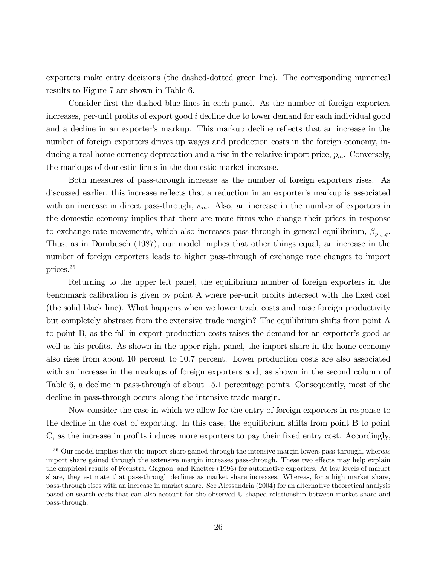exporters make entry decisions (the dashed-dotted green line). The corresponding numerical results to Figure 7 are shown in Table 6.

Consider first the dashed blue lines in each panel. As the number of foreign exporters increases, per-unit profits of export good  $i$  decline due to lower demand for each individual good and a decline in an exporter's markup. This markup decline reflects that an increase in the number of foreign exporters drives up wages and production costs in the foreign economy, inducing a real home currency deprecation and a rise in the relative import price,  $p_m$ . Conversely, the markups of domestic firms in the domestic market increase.

Both measures of pass-through increase as the number of foreign exporters rises. As discussed earlier, this increase reflects that a reduction in an exporter's markup is associated with an increase in direct pass-through,  $\kappa_m$ . Also, an increase in the number of exporters in the domestic economy implies that there are more firms who change their prices in response to exchange-rate movements, which also increases pass-through in general equilibrium,  $\beta_{p_m,q}$ . Thus, as in Dornbusch (1987), our model implies that other things equal, an increase in the number of foreign exporters leads to higher pass-through of exchange rate changes to import prices.26

Returning to the upper left panel, the equilibrium number of foreign exporters in the benchmark calibration is given by point A where per-unit profits intersect with the fixed cost (the solid black line). What happens when we lower trade costs and raise foreign productivity but completely abstract from the extensive trade margin? The equilibrium shifts from point A to point B, as the fall in export production costs raises the demand for an exporter's good as well as his profits. As shown in the upper right panel, the import share in the home economy also rises from about 10 percent to 10.7 percent. Lower production costs are also associated with an increase in the markups of foreign exporters and, as shown in the second column of Table 6, a decline in pass-through of about 15.1 percentage points. Consequently, most of the decline in pass-through occurs along the intensive trade margin.

Now consider the case in which we allow for the entry of foreign exporters in response to the decline in the cost of exporting. In this case, the equilibrium shifts from point B to point C, as the increase in profits induces more exporters to pay their fixed entry cost. Accordingly,

 $26$  Our model implies that the import share gained through the intensive margin lowers pass-through, whereas import share gained through the extensive margin increases pass-through. These two effects may help explain the empirical results of Feenstra, Gagnon, and Knetter (1996) for automotive exporters. At low levels of market share, they estimate that pass-through declines as market share increases. Whereas, for a high market share, pass-through rises with an increase in market share. See Alessandria (2004) for an alternative theoretical analysis based on search costs that can also account for the observed U-shaped relationship between market share and pass-through.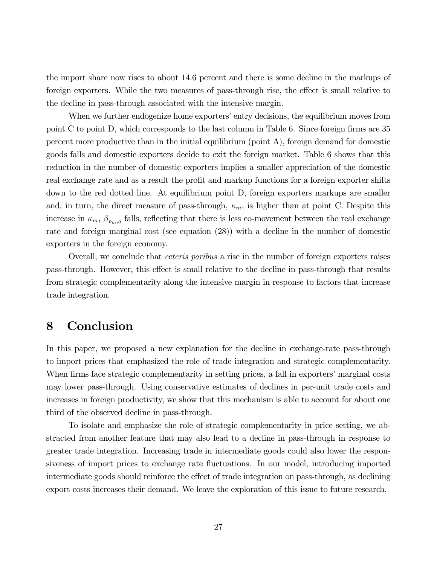the import share now rises to about 14.6 percent and there is some decline in the markups of foreign exporters. While the two measures of pass-through rise, the effect is small relative to the decline in pass-through associated with the intensive margin.

When we further endogenize home exporters' entry decisions, the equilibrium moves from point C to point D, which corresponds to the last column in Table 6. Since foreign firms are 35 percent more productive than in the initial equilibrium (point A), foreign demand for domestic goods falls and domestic exporters decide to exit the foreign market. Table 6 shows that this reduction in the number of domestic exporters implies a smaller appreciation of the domestic real exchange rate and as a result the profit and markup functions for a foreign exporter shifts down to the red dotted line. At equilibrium point D, foreign exporters markups are smaller and, in turn, the direct measure of pass-through,  $\kappa_m$ , is higher than at point C. Despite this increase in  $\kappa_m$ ,  $\beta_{p_m,q}$  falls, reflecting that there is less co-movement between the real exchange rate and foreign marginal cost (see equation (28)) with a decline in the number of domestic exporters in the foreign economy.

Overall, we conclude that ceteris paribus a rise in the number of foreign exporters raises pass-through. However, this effect is small relative to the decline in pass-through that results from strategic complementarity along the intensive margin in response to factors that increase trade integration.

## 8 Conclusion

In this paper, we proposed a new explanation for the decline in exchange-rate pass-through to import prices that emphasized the role of trade integration and strategic complementarity. When firms face strategic complementarity in setting prices, a fall in exporters' marginal costs may lower pass-through. Using conservative estimates of declines in per-unit trade costs and increases in foreign productivity, we show that this mechanism is able to account for about one third of the observed decline in pass-through.

To isolate and emphasize the role of strategic complementarity in price setting, we abstracted from another feature that may also lead to a decline in pass-through in response to greater trade integration. Increasing trade in intermediate goods could also lower the responsiveness of import prices to exchange rate fluctuations. In our model, introducing imported intermediate goods should reinforce the effect of trade integration on pass-through, as declining export costs increases their demand. We leave the exploration of this issue to future research.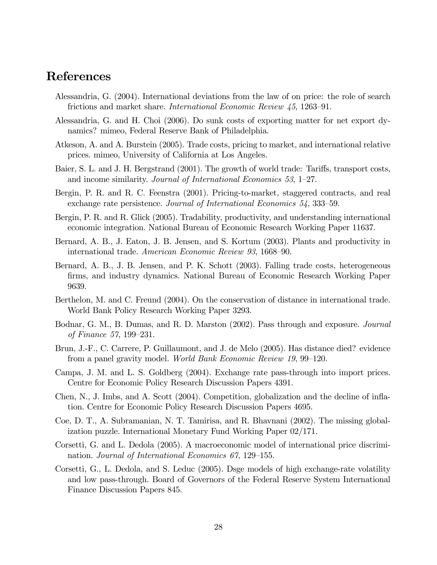# **References**

- Alessandria, G. (2004). International deviations from the law of on price: the role of search frictions and market share. International Economic Review 45, 1263—91.
- Alessandria, G. and H. Choi (2006). Do sunk costs of exporting matter for net export dynamics? mimeo, Federal Reserve Bank of Philadelphia.
- Atkeson, A. and A. Burstein (2005). Trade costs, pricing to market, and international relative prices. mimeo, University of California at Los Angeles.
- Baier, S. L. and J. H. Bergstrand (2001). The growth of world trade: Tariffs, transport costs, and income similarity. Journal of International Economics 53, 1—27.
- Bergin, P. R. and R. C. Feenstra (2001). Pricing-to-market, staggered contracts, and real exchange rate persistence. Journal of International Economics 54, 333—59.
- Bergin, P. R. and R. Glick (2005). Tradability, productivity, and understanding international economic integration. National Bureau of Economic Research Working Paper 11637.
- Bernard, A. B., J. Eaton, J. B. Jensen, and S. Kortum (2003). Plants and productivity in international trade. American Economic Review 93, 1668—90.
- Bernard, A. B., J. B. Jensen, and P. K. Schott (2003). Falling trade costs, heterogeneous firms, and industry dynamics. National Bureau of Economic Research Working Paper 9639.
- Berthelon, M. and C. Freund (2004). On the conservation of distance in international trade. World Bank Policy Research Working Paper 3293.
- Bodnar, G. M., B. Dumas, and R. D. Marston (2002). Pass through and exposure. Journal of Finance 57, 199—231.
- Brun, J.-F., C. Carrere, P. Guillaumont, and J. de Melo (2005). Has distance died? evidence from a panel gravity model. World Bank Economic Review 19, 99—120.
- Campa, J. M. and L. S. Goldberg (2004). Exchange rate pass-through into import prices. Centre for Economic Policy Research Discussion Papers 4391.
- Chen, N., J. Imbs, and A. Scott (2004). Competition, globalization and the decline of inflation. Centre for Economic Policy Research Discussion Papers 4695.
- Coe, D. T., A. Subramanian, N. T. Tamirisa, and R. Bhavnani (2002). The missing globalization puzzle. International Monetary Fund Working Paper 02/171.
- Corsetti, G. and L. Dedola (2005). A macroeconomic model of international price discrimination. Journal of International Economics 67, 129—155.
- Corsetti, G., L. Dedola, and S. Leduc (2005). Dsge models of high exchange-rate volatility and low pass-through. Board of Governors of the Federal Reserve System International Finance Discussion Papers 845.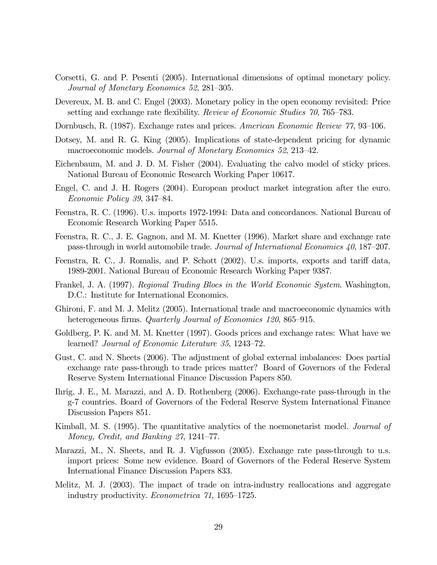- Corsetti, G. and P. Pesenti (2005). International dimensions of optimal monetary policy. Journal of Monetary Economics 52, 281—305.
- Devereux, M. B. and C. Engel (2003). Monetary policy in the open economy revisited: Price setting and exchange rate flexibility. Review of Economic Studies 70, 765—783.
- Dornbusch, R. (1987). Exchange rates and prices. American Economic Review 77, 93—106.
- Dotsey, M. and R. G. King (2005). Implications of state-dependent pricing for dynamic macroeconomic models. Journal of Monetary Economics 52, 213—42.
- Eichenbaum, M. and J. D. M. Fisher (2004). Evaluating the calvo model of sticky prices. National Bureau of Economic Research Working Paper 10617.
- Engel, C. and J. H. Rogers (2004). European product market integration after the euro. Economic Policy 39, 347—84.
- Feenstra, R. C. (1996). U.s. imports 1972-1994: Data and concordances. National Bureau of Economic Research Working Paper 5515.
- Feenstra, R. C., J. E. Gagnon, and M. M. Knetter (1996). Market share and exchange rate pass-through in world automobile trade. Journal of International Economics 40, 187—207.
- Feenstra, R. C., J. Romalis, and P. Schott (2002). U.s. imports, exports and tariff data, 1989-2001. National Bureau of Economic Research Working Paper 9387.
- Frankel, J. A. (1997). Regional Trading Blocs in the World Economic System. Washington, D.C.: Institute for International Economics.
- Ghironi, F. and M. J. Melitz (2005). International trade and macroeconomic dynamics with heterogeneous firms. *Quarterly Journal of Economics 120*, 865–915.
- Goldberg, P. K. and M. M. Knetter (1997). Goods prices and exchange rates: What have we learned? Journal of Economic Literature 35, 1243—72.
- Gust, C. and N. Sheets (2006). The adjustment of global external imbalances: Does partial exchange rate pass-through to trade prices matter? Board of Governors of the Federal Reserve System International Finance Discussion Papers 850.
- Ihrig, J. E., M. Marazzi, and A. D. Rothenberg (2006). Exchange-rate pass-through in the g-7 countries. Board of Governors of the Federal Reserve System International Finance Discussion Papers 851.
- Kimball, M. S. (1995). The quantitative analytics of the noemonetarist model. *Journal of* Money, Credit, and Banking 27, 1241—77.
- Marazzi, M., N. Sheets, and R. J. Vigfusson (2005). Exchange rate pass-through to u.s. import prices: Some new evidence. Board of Governors of the Federal Reserve System International Finance Discussion Papers 833.
- Melitz, M. J. (2003). The impact of trade on intra-industry reallocations and aggregate industry productivity. Econometrica 71, 1695—1725.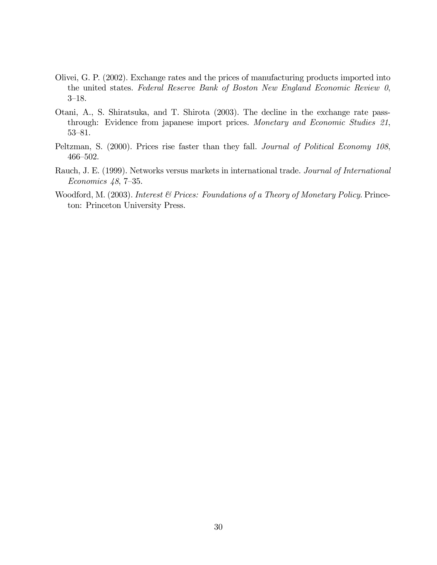- Olivei, G. P. (2002). Exchange rates and the prices of manufacturing products imported into the united states. Federal Reserve Bank of Boston New England Economic Review 0, 3—18.
- Otani, A., S. Shiratsuka, and T. Shirota (2003). The decline in the exchange rate passthrough: Evidence from japanese import prices. Monetary and Economic Studies 21, 53—81.
- Peltzman, S. (2000). Prices rise faster than they fall. Journal of Political Economy 108, 466—502.
- Rauch, J. E. (1999). Networks versus markets in international trade. Journal of International Economics 48, 7—35.
- Woodford, M. (2003). Interest  $\mathcal C$  Prices: Foundations of a Theory of Monetary Policy. Princeton: Princeton University Press.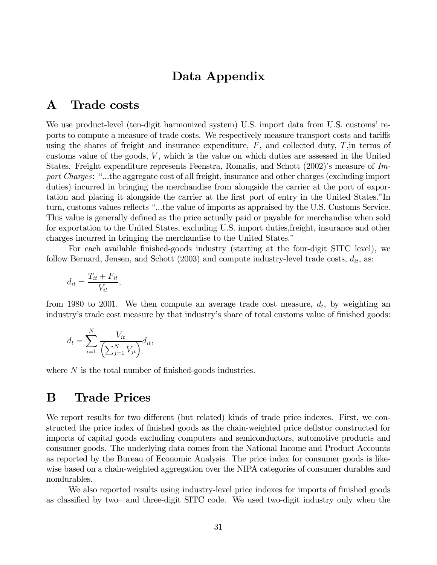# Data Appendix

### A Trade costs

We use product-level (ten-digit harmonized system) U.S. import data from U.S. customs' reports to compute a measure of trade costs. We respectively measure transport costs and tariffs using the shares of freight and insurance expenditure,  $F$ , and collected duty,  $T$ , in terms of customs value of the goods,  $V$ , which is the value on which duties are assessed in the United States. Freight expenditure represents Feenstra, Romalis, and Schott (2002)'s measure of Import Charges: "...the aggregate cost of all freight, insurance and other charges (excluding import duties) incurred in bringing the merchandise from alongside the carrier at the port of exportation and placing it alongside the carrier at the first port of entry in the United States."In turn, customs values reflects "...the value of imports as appraised by the U.S. Customs Service. This value is generally defined as the price actually paid or payable for merchandise when sold for exportation to the United States, excluding U.S. import duties,freight, insurance and other charges incurred in bringing the merchandise to the United States."

For each available finished-goods industry (starting at the four-digit SITC level), we follow Bernard, Jensen, and Schott  $(2003)$  and compute industry-level trade costs,  $d_{it}$ , as:

$$
d_{it} = \frac{T_{it} + F_{it}}{V_{it}},
$$

from 1980 to 2001. We then compute an average trade cost measure,  $d_t$ , by weighting an industry's trade cost measure by that industry's share of total customs value of finished goods:

$$
d_t = \sum_{i=1}^{N} \frac{V_{it}}{\left(\sum_{j=1}^{N} V_{jt}\right)} d_{it},
$$

where  $N$  is the total number of finished-goods industries.

# B Trade Prices

We report results for two different (but related) kinds of trade price indexes. First, we constructed the price index of finished goods as the chain-weighted price deflator constructed for imports of capital goods excluding computers and semiconductors, automotive products and consumer goods. The underlying data comes from the National Income and Product Accounts as reported by the Bureau of Economic Analysis. The price index for consumer goods is likewise based on a chain-weighted aggregation over the NIPA categories of consumer durables and nondurables.

We also reported results using industry-level price indexes for imports of finished goods as classified by two— and three-digit SITC code. We used two-digit industry only when the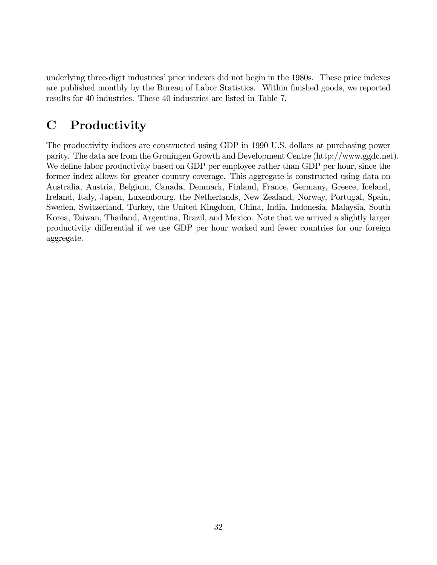underlying three-digit industries' price indexes did not begin in the 1980s. These price indexes are published monthly by the Bureau of Labor Statistics. Within finished goods, we reported results for 40 industries. These 40 industries are listed in Table 7.

# C Productivity

The productivity indices are constructed using GDP in 1990 U.S. dollars at purchasing power parity. The data are from the Groningen Growth and Development Centre (http://www.ggdc.net). We define labor productivity based on GDP per employee rather than GDP per hour, since the former index allows for greater country coverage. This aggregate is constructed using data on Australia, Austria, Belgium, Canada, Denmark, Finland, France, Germany, Greece, Iceland, Ireland, Italy, Japan, Luxembourg, the Netherlands, New Zealand, Norway, Portugal, Spain, Sweden, Switzerland, Turkey, the United Kingdom, China, India, Indonesia, Malaysia, South Korea, Taiwan, Thailand, Argentina, Brazil, and Mexico. Note that we arrived a slightly larger productivity differential if we use GDP per hour worked and fewer countries for our foreign aggregate.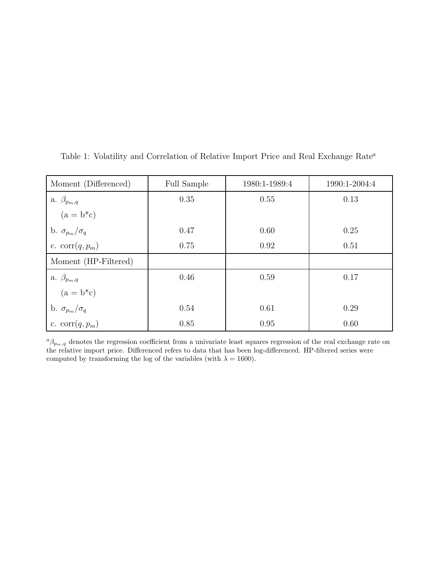| Moment (Differenced)                                          | <b>Full Sample</b> | 1980:1-1989:4 | 1990:1-2004:4 |
|---------------------------------------------------------------|--------------------|---------------|---------------|
| a. $\beta_{p_m,q}$                                            | 0.35               | 0.55          | 0.13          |
| $(a = b^*c)$                                                  |                    |               |               |
| b. $\sigma_{p_m}/\sigma_q$                                    | 0.47               | 0.60          | 0.25          |
| c. corr $(q, p_m)$                                            | 0.75               | 0.92          | 0.51          |
| Moment (HP-Filtered)                                          |                    |               |               |
|                                                               | 0.46               | 0.59          | 0.17          |
| a. $\beta_{p_m,q}$<br>(a = b*c)<br>b. $\sigma_{p_m}/\sigma_q$ |                    |               |               |
|                                                               | 0.54               | 0.61          | 0.29          |
| c. corr $(q, p_m)$                                            | 0.85               | 0.95          | 0.60          |

Table 1: Volatility and Correlation of Relative Import Price and Real Exchange  $\mathrm{Rate}^a$ 

 $a_{\beta_{p_m,q}}$  denotes the regression coefficient from a univariate least squares regression of the real exchange rate on the relative import price. Differenced refers to data that has been log-differenced. HP-filtered series were computed by transforming the log of the variables (with  $\lambda = 1600$ ).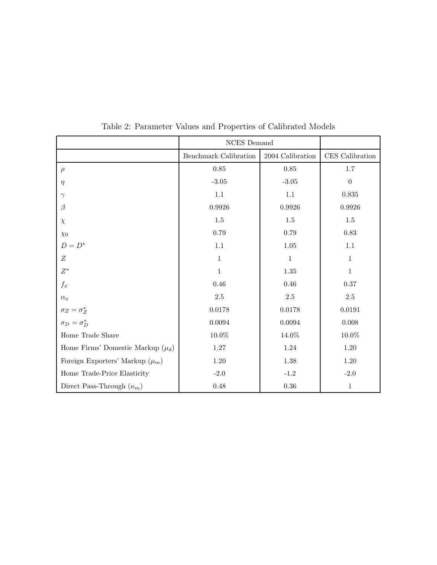|                                       | <b>NCES</b> Demand    |                         |                  |
|---------------------------------------|-----------------------|-------------------------|------------------|
|                                       | Benchmark Calibration | $2004$ Calibration $\,$ | CES Calibration  |
| $\rho$                                | $0.85\,$              | $0.85\,$                | 1.7              |
| $\eta$                                | $\mbox{-}3.05$        | $\textbf{-3.05}$        | $\boldsymbol{0}$ |
| $\gamma$                              | $1.1\,$               | $1.1\,$                 | 0.835            |
| β                                     | 0.9926                | 0.9926                  | 0.9926           |
| $\chi$                                | $1.5\,$               | $1.5\,$                 | $1.5\,$          |
| $\chi_0$                              | 0.79                  | 0.79                    | 0.83             |
| $D=D^*$                               | 1.1                   | $1.05\,$                | 1.1              |
| Z                                     | $\mathbf{1}$          | $\mathbf 1$             | $1\,$            |
| $Z^\ast$                              | $\mathbf{1}$          | $1.35\,$                | $\mathbf{1}$     |
| $f_x$                                 | $0.46\,$              | 0.46                    | 0.37             |
| $\alpha_x$                            | $2.5\,$               | $2.5\,$                 | $2.5\,$          |
| $\sigma_Z = \sigma_Z^*$               | $0.0178\,$            | $0.0178\,$              | $\,0.0191\,$     |
| $\sigma_D = \sigma_D^*$               | 0.0094                | $\,0.0094\,$            | $0.008\,$        |
| Home Trade Share                      | $10.0\%$              | 14.0%                   | $10.0\%$         |
| Home Firms' Domestic Markup $(\mu_d)$ | $1.27\,$              | $1.24\,$                | 1.20             |
| Foreign Exporters' Markup $(\mu_m)$   | $1.20\,$              | 1.38                    | 1.20             |
| Home Trade-Price Elasticity           | $-2.0$                | $-1.2$                  | $-2.0$           |
| Direct Pass-Through $(\kappa_m)$      | 0.48                  | $0.36\,$                | $\mathbf 1$      |

Table 2: Parameter Values and Properties of Calibrated Models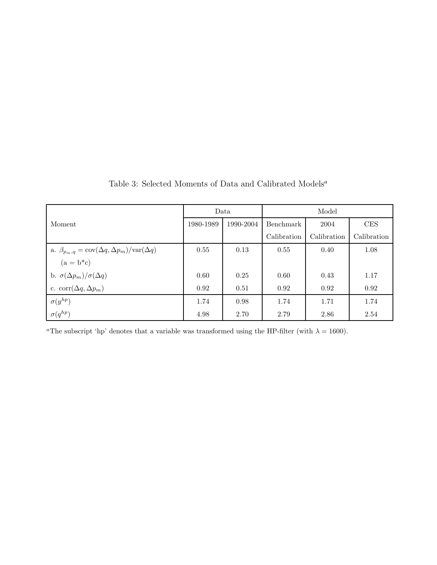|                                                                              | Data      |           | Model       |             |             |
|------------------------------------------------------------------------------|-----------|-----------|-------------|-------------|-------------|
| Moment                                                                       | 1980-1989 | 1990-2004 | Benchmark   | 2004        | <b>CES</b>  |
|                                                                              |           |           | Calibration | Calibration | Calibration |
| a. $\beta_{p_m,q} = \text{cov}(\Delta q, \Delta p_m) / \text{var}(\Delta q)$ | 0.55      | 0.13      | 0.55        | 0.40        | 1.08        |
| $(a = b * c)$                                                                |           |           |             |             |             |
| b. $\sigma(\Delta p_m)/\sigma(\Delta q)$                                     | 0.60      | 0.25      | 0.60        | 0.43        | 1.17        |
| c. corr $(\Delta q, \Delta p_m)$                                             | 0.92      | 0.51      | 0.92        | 0.92        | 0.92        |
| $\sigma(y^{hp})$                                                             | 1.74      | 0.98      | 1.74        | 1.71        | 1.74        |
| $\sigma(q^{hp})$                                                             | 4.98      | 2.70      | 2.79        | 2.86        | 2.54        |

Table 3: Selected Moments of Data and Calibrated Models<sup>a</sup>

<sup>a</sup>The subscript 'hp' denotes that a variable was transformed using the HP-filter (with  $\lambda = 1600$ ).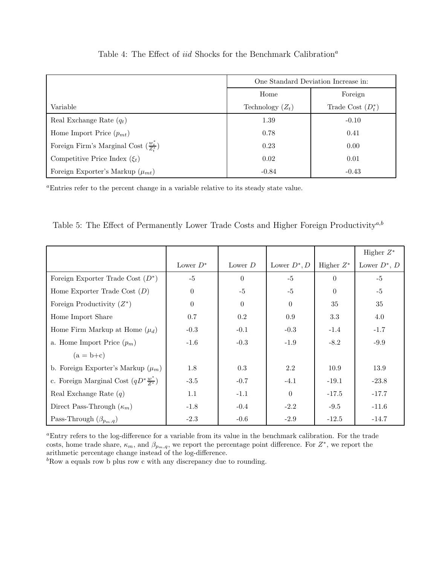|                                                                 | One Standard Deviation Increase in: |                          |  |
|-----------------------------------------------------------------|-------------------------------------|--------------------------|--|
|                                                                 | Home<br>Foreign                     |                          |  |
| Variable                                                        | Technology $(Z_t)$                  | Trade Cost $(D_{t}^{*})$ |  |
| Real Exchange Rate $(q_t)$                                      | 1.39                                | $-0.10$                  |  |
| Home Import Price $(p_{mt})$                                    | 0.78                                | 0.41                     |  |
| Foreign Firm's Marginal Cost $\left(\frac{w_t^*}{Z_s^*}\right)$ | 0.23                                | 0.00                     |  |
| Competitive Price Index $(\xi_t)$                               | 0.02                                | 0.01                     |  |
| Foreign Exporter's Markup $(\mu_{mt})$                          | $-0.84$                             | $-0.43$                  |  |

#### Table 4: The Effect of iid Shocks for the Benchmark Calibration<sup>a</sup>

<sup>a</sup>Entries refer to the percent change in a variable relative to its steady state value.

|                                                  |                |           |                |              | Higher $Z^*$    |
|--------------------------------------------------|----------------|-----------|----------------|--------------|-----------------|
|                                                  | Lower $D^*$    | Lower $D$ | Lower $D^*, D$ | Higher $Z^*$ | Lower $D^*$ , D |
| Foreign Exporter Trade Cost $(D^*)$              | $-5$           | $\theta$  | $-5$           | $\Omega$     | $-5$            |
| Home Exporter Trade Cost $(D)$                   | $\overline{0}$ | $-5$      | $-5$           | $\theta$     | $-5$            |
| Foreign Productivity $(Z^*)$                     | $\overline{0}$ | $\Omega$  | $\Omega$       | 35           | 35              |
| Home Import Share                                | 0.7            | $0.2\,$   | 0.9            | 3.3          | 4.0             |
| Home Firm Markup at Home $(\mu_d)$               | $-0.3$         | $-0.1$    | $-0.3$         | $-1.4$       | $-1.7$          |
| a. Home Import Price $(p_m)$                     | $-1.6$         | $-0.3$    | $-1.9$         | $-8.2$       | $-9.9$          |
| $(a = b+c)$                                      |                |           |                |              |                 |
| b. Foreign Exporter's Markup $(\mu_m)$           | 1.8            | 0.3       | 2.2            | 10.9         | 13.9            |
| c. Foreign Marginal Cost $(qD^*\frac{w^*}{z^*})$ | $-3.5$         | $-0.7$    | $-4.1$         | $-19.1$      | $-23.8$         |
| Real Exchange Rate $(q)$                         | 1.1            | $-1.1$    | $\Omega$       | $-17.5$      | $-17.7$         |
| Direct Pass-Through $(\kappa_m)$                 | $-1.8$         | $-0.4$    | $-2.2$         | $-9.5$       | $-11.6$         |
| Pass-Through $(\beta_{p_m,q})$                   | $-2.3$         | $-0.6$    | $-2.9$         | $-12.5$      | $-14.7$         |

Table 5: The Effect of Permanently Lower Trade Costs and Higher Foreign Productivity<sup>a,b</sup>

<sup>a</sup>Entry refers to the log-difference for a variable from its value in the benchmark calibration. For the trade costs, home trade share,  $\kappa_m$ , and  $\beta_{p_m,q}$ , we report the percentage point difference. For  $Z^*$ , we report the arithmetic percentage change instead of the log-difference.

 $\rm ^{b}Row$  a equals row b plus row c with any discrepancy due to rounding.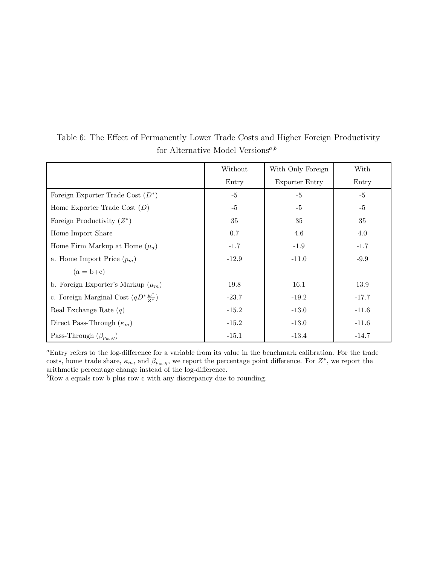|                                                  | Without | With Only Foreign | With    |
|--------------------------------------------------|---------|-------------------|---------|
|                                                  | Entry   | Exporter Entry    | Entry   |
| Foreign Exporter Trade Cost $(D^*)$              | $-5$    | $-5$              | $-5$    |
| Home Exporter Trade Cost $(D)$                   | $-5$    | $-5$              | $-5$    |
| Foreign Productivity $(Z^*)$                     | 35      | 35                | 35      |
| Home Import Share                                | 0.7     | 4.6               | 4.0     |
| Home Firm Markup at Home $(\mu_d)$               | $-1.7$  | $-1.9$            | $-1.7$  |
| a. Home Import Price $(p_m)$                     | $-12.9$ | $-11.0$           | $-9.9$  |
| $(a = b+c)$                                      |         |                   |         |
| b. Foreign Exporter's Markup $(\mu_m)$           | 19.8    | 16.1              | 13.9    |
| c. Foreign Marginal Cost $(qD^*\frac{w^*}{Z^*})$ | $-23.7$ | $-19.2$           | $-17.7$ |
| Real Exchange Rate $(q)$                         | $-15.2$ | $-13.0$           | $-11.6$ |
| Direct Pass-Through $(\kappa_m)$                 | $-15.2$ | $-13.0$           | $-11.6$ |
| Pass-Through $(\beta_{p_m,q})$                   | $-15.1$ | $-13.4$           | $-14.7$ |

Table 6: The Effect of Permanently Lower Trade Costs and Higher Foreign Productivity for Alternative Model Versions $\real^{a,b}$ 

<sup>a</sup>Entry refers to the log-difference for a variable from its value in the benchmark calibration. For the trade costs, home trade share,  $\kappa_m$ , and  $\beta_{p_m,q}$ , we report the percentage point difference. For  $Z^*$ , we report the arithmetic percentage change instead of the log-difference.

 ${}^b{\rm Row}$  a equals row b plus row c with any discrepancy due to rounding.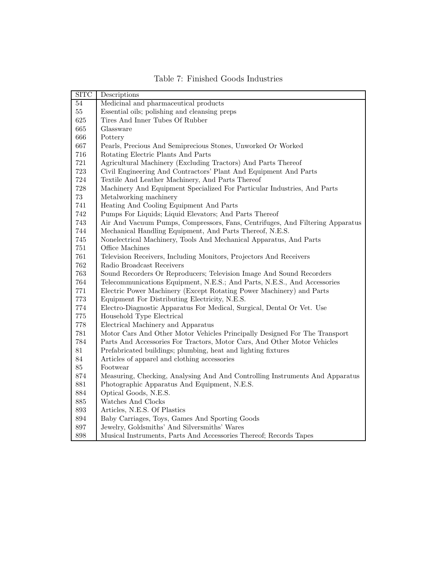| <b>SITC</b> | Descriptions                                                                  |
|-------------|-------------------------------------------------------------------------------|
| 54          | Medicinal and pharmaceutical products                                         |
| $55\,$      | Essential oils; polishing and cleansing preps                                 |
| 625         | Tires And Inner Tubes Of Rubber                                               |
| 665         | Glassware                                                                     |
| 666         | Pottery                                                                       |
| 667         | Pearls, Precious And Semiprecious Stones, Unworked Or Worked                  |
| 716         | Rotating Electric Plants And Parts                                            |
| 721         | Agricultural Machinery (Excluding Tractors) And Parts Thereof                 |
| 723         | Civil Engineering And Contractors' Plant And Equipment And Parts              |
| 724         | Textile And Leather Machinery, And Parts Thereof                              |
| 728         | Machinery And Equipment Specialized For Particular Industries, And Parts      |
| 73          | Metalworking machinery                                                        |
| 741         | Heating And Cooling Equipment And Parts                                       |
| 742         | Pumps For Liquids; Liquid Elevators; And Parts Thereof                        |
| 743         | Air And Vacuum Pumps, Compressors, Fans, Centrifuges, And Filtering Apparatus |
| 744         | Mechanical Handling Equipment, And Parts Thereof, N.E.S.                      |
| 745         | Nonelectrical Machinery, Tools And Mechanical Apparatus, And Parts            |
| 751         | Office Machines                                                               |
| 761         | Television Receivers, Including Monitors, Projectors And Receivers            |
| 762         | Radio Broadcast Receivers                                                     |
| 763         | Sound Recorders Or Reproducers; Television Image And Sound Recorders          |
| 764         | Telecommunications Equipment, N.E.S.; And Parts, N.E.S., And Accessories      |
| 771         | Electric Power Machinery (Except Rotating Power Machinery) and Parts          |
| 773         | Equipment For Distributing Electricity, N.E.S.                                |
| 774         | Electro-Diagnostic Apparatus For Medical, Surgical, Dental Or Vet. Use        |
| 775         | Household Type Electrical                                                     |
| 778         | Electrical Machinery and Apparatus                                            |
| 781         | Motor Cars And Other Motor Vehicles Principally Designed For The Transport    |
| 784         | Parts And Accessories For Tractors, Motor Cars, And Other Motor Vehicles      |
| 81          | Prefabricated buildings; plumbing, heat and lighting fixtures                 |
| 84          | Articles of apparel and clothing accessories                                  |
| $85\,$      | Footwear                                                                      |
| 874         | Measuring, Checking, Analysing And And Controlling Instruments And Apparatus  |
| 881         | Photographic Apparatus And Equipment, N.E.S.                                  |
| 884         | Optical Goods, N.E.S.                                                         |
| 885         | Watches And Clocks                                                            |
| 893         | Articles, N.E.S. Of Plastics                                                  |
| 894         | Baby Carriages, Toys, Games And Sporting Goods                                |
| 897         | Jewelry, Goldsmiths' And Silversmiths' Wares                                  |
| 898         | Musical Instruments, Parts And Accessories Thereof; Records Tapes             |

Table 7: Finished Goods Industries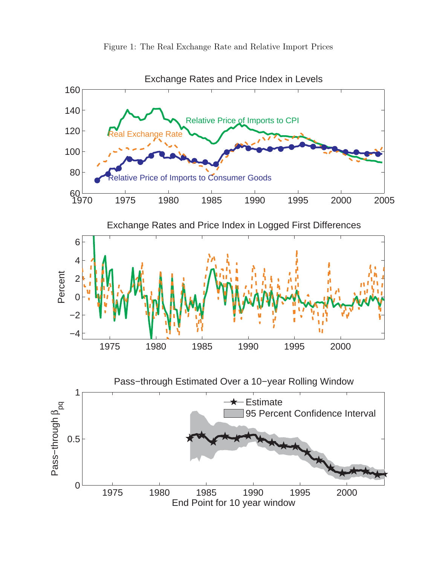

Figure 1: The Real Exchange Rate and Relative Import Prices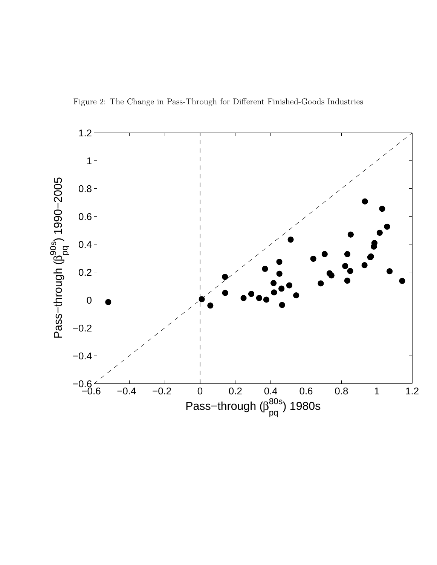Figure 2: The Change in Pass-Through for Different Finished-Goods Industries

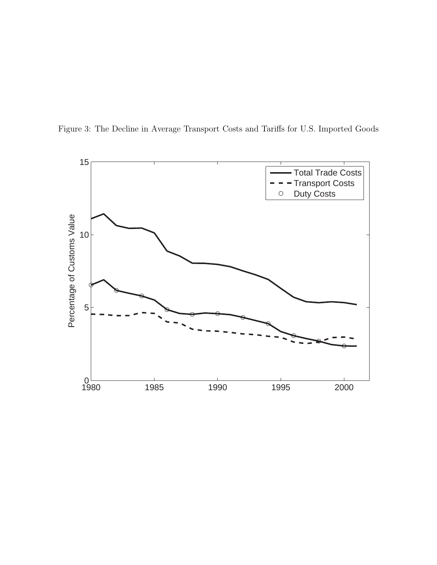

Figure 3: The Decline in Average Transport Costs and Tariffs for U.S. Imported Goods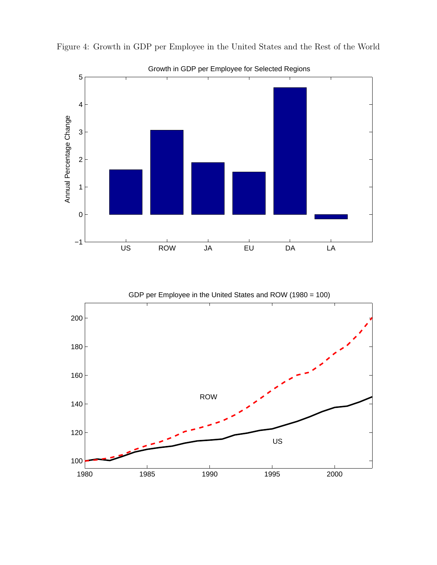

Figure 4: Growth in GDP per Employee in the United States and the Rest of the World

Growth in GDP per Employee for Selected Regions

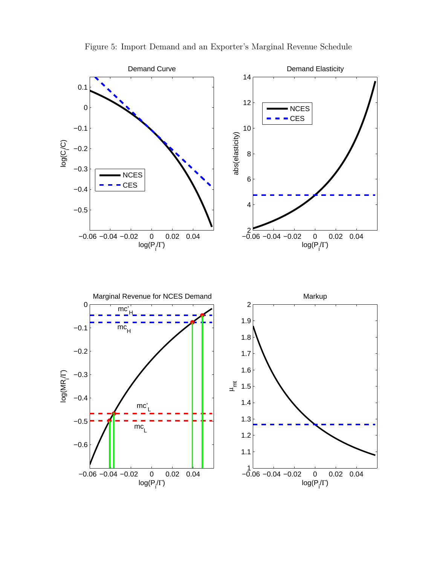

Figure 5: Import Demand and an Exporter's Marginal Revenue Schedule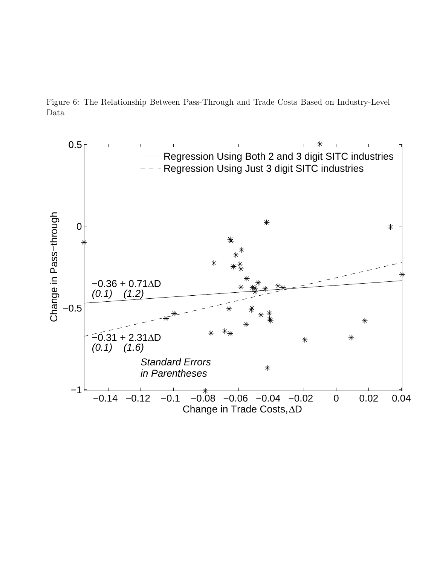